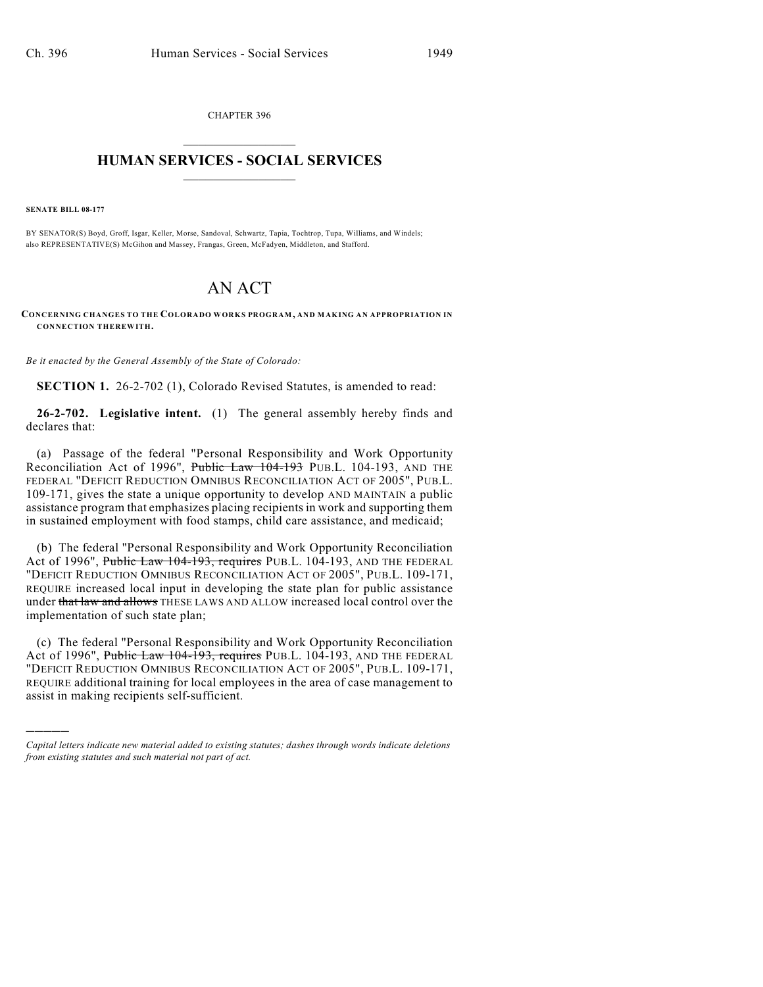CHAPTER 396  $\mathcal{L}_\text{max}$  . The set of the set of the set of the set of the set of the set of the set of the set of the set of the set of the set of the set of the set of the set of the set of the set of the set of the set of the set

## **HUMAN SERVICES - SOCIAL SERVICES**  $\frac{1}{2}$  ,  $\frac{1}{2}$  ,  $\frac{1}{2}$  ,  $\frac{1}{2}$  ,  $\frac{1}{2}$  ,  $\frac{1}{2}$  ,  $\frac{1}{2}$

**SENATE BILL 08-177**

)))))

BY SENATOR(S) Boyd, Groff, Isgar, Keller, Morse, Sandoval, Schwartz, Tapia, Tochtrop, Tupa, Williams, and Windels; also REPRESENTATIVE(S) McGihon and Massey, Frangas, Green, McFadyen, Middleton, and Stafford.

# AN ACT

**CONCERNING CHANGES TO THE COLORADO WORKS PROGRAM, AND MAKING AN APPROPRIATION IN CONNECTION THEREWITH.**

*Be it enacted by the General Assembly of the State of Colorado:*

**SECTION 1.** 26-2-702 (1), Colorado Revised Statutes, is amended to read:

**26-2-702. Legislative intent.** (1) The general assembly hereby finds and declares that:

(a) Passage of the federal "Personal Responsibility and Work Opportunity Reconciliation Act of 1996", Public Law 104-193 PUB.L. 104-193, AND THE FEDERAL "DEFICIT REDUCTION OMNIBUS RECONCILIATION ACT OF 2005", PUB.L. 109-171, gives the state a unique opportunity to develop AND MAINTAIN a public assistance program that emphasizes placing recipients in work and supporting them in sustained employment with food stamps, child care assistance, and medicaid;

(b) The federal "Personal Responsibility and Work Opportunity Reconciliation Act of 1996", Public Law 104-193, requires PUB.L. 104-193, AND THE FEDERAL "DEFICIT REDUCTION OMNIBUS RECONCILIATION ACT OF 2005", PUB.L. 109-171, REQUIRE increased local input in developing the state plan for public assistance under that law and allows THESE LAWS AND ALLOW increased local control over the implementation of such state plan;

(c) The federal "Personal Responsibility and Work Opportunity Reconciliation Act of 1996", Public Law 104-193, requires PUB.L. 104-193, AND THE FEDERAL "DEFICIT REDUCTION OMNIBUS RECONCILIATION ACT OF 2005", PUB.L. 109-171, REQUIRE additional training for local employees in the area of case management to assist in making recipients self-sufficient.

*Capital letters indicate new material added to existing statutes; dashes through words indicate deletions from existing statutes and such material not part of act.*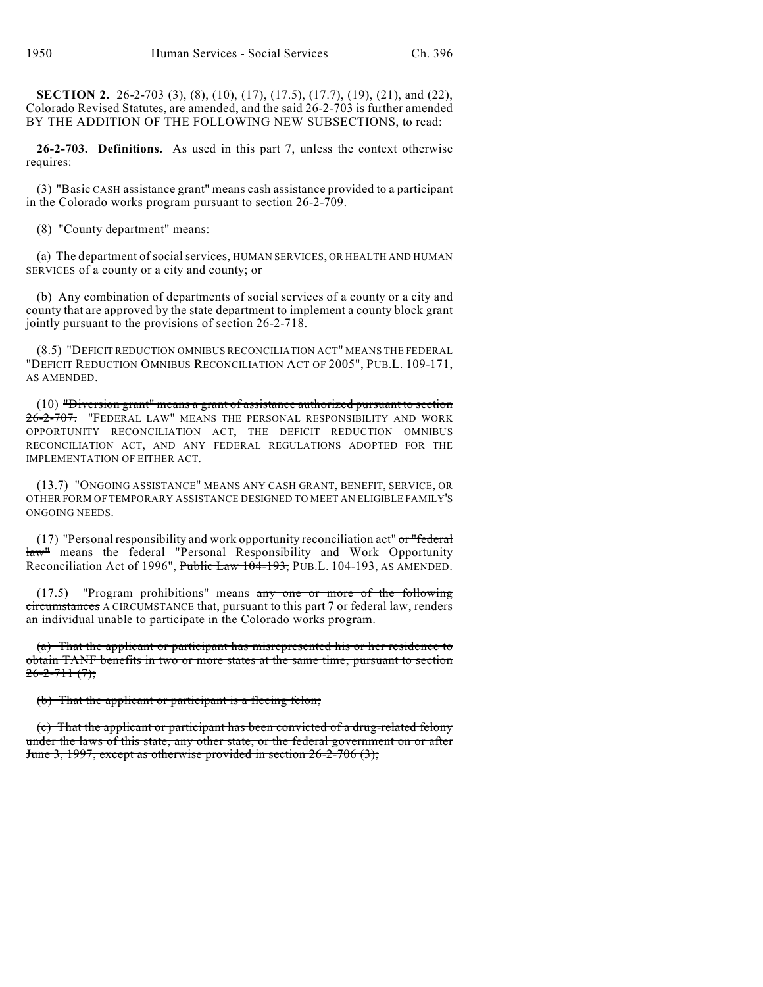**SECTION 2.** 26-2-703 (3), (8), (10), (17), (17.5), (17.7), (19), (21), and (22), Colorado Revised Statutes, are amended, and the said 26-2-703 is further amended BY THE ADDITION OF THE FOLLOWING NEW SUBSECTIONS, to read:

**26-2-703. Definitions.** As used in this part 7, unless the context otherwise requires:

(3) "Basic CASH assistance grant" means cash assistance provided to a participant in the Colorado works program pursuant to section 26-2-709.

(8) "County department" means:

(a) The department of social services, HUMAN SERVICES, OR HEALTH AND HUMAN SERVICES of a county or a city and county; or

(b) Any combination of departments of social services of a county or a city and county that are approved by the state department to implement a county block grant jointly pursuant to the provisions of section 26-2-718.

(8.5) "DEFICIT REDUCTION OMNIBUS RECONCILIATION ACT" MEANS THE FEDERAL "DEFICIT REDUCTION OMNIBUS RECONCILIATION ACT OF 2005", PUB.L. 109-171, AS AMENDED.

(10) "Diversion grant" means a grant of assistance authorized pursuant to section 26-2-707. "FEDERAL LAW" MEANS THE PERSONAL RESPONSIBILITY AND WORK OPPORTUNITY RECONCILIATION ACT, THE DEFICIT REDUCTION OMNIBUS RECONCILIATION ACT, AND ANY FEDERAL REGULATIONS ADOPTED FOR THE IMPLEMENTATION OF EITHER ACT.

(13.7) "ONGOING ASSISTANCE" MEANS ANY CASH GRANT, BENEFIT, SERVICE, OR OTHER FORM OF TEMPORARY ASSISTANCE DESIGNED TO MEET AN ELIGIBLE FAMILY'S ONGOING NEEDS.

(17) "Personal responsibility and work opportunity reconciliation act"  $\sigma r$ "federal law" means the federal "Personal Responsibility and Work Opportunity Reconciliation Act of 1996", Public Law 104-193, PUB.L. 104-193, AS AMENDED.

(17.5) "Program prohibitions" means any one or more of the following circumstances A CIRCUMSTANCE that, pursuant to this part 7 or federal law, renders an individual unable to participate in the Colorado works program.

(a) That the applicant or participant has misrepresented his or her residence to obtain TANF benefits in two or more states at the same time, pursuant to section  $26 - 2 - 711$   $(7)$ ;

(b) That the applicant or participant is a fleeing felon;

(c) That the applicant or participant has been convicted of a drug-related felony under the laws of this state, any other state, or the federal government on or after June 3, 1997, except as otherwise provided in section 26-2-706 (3);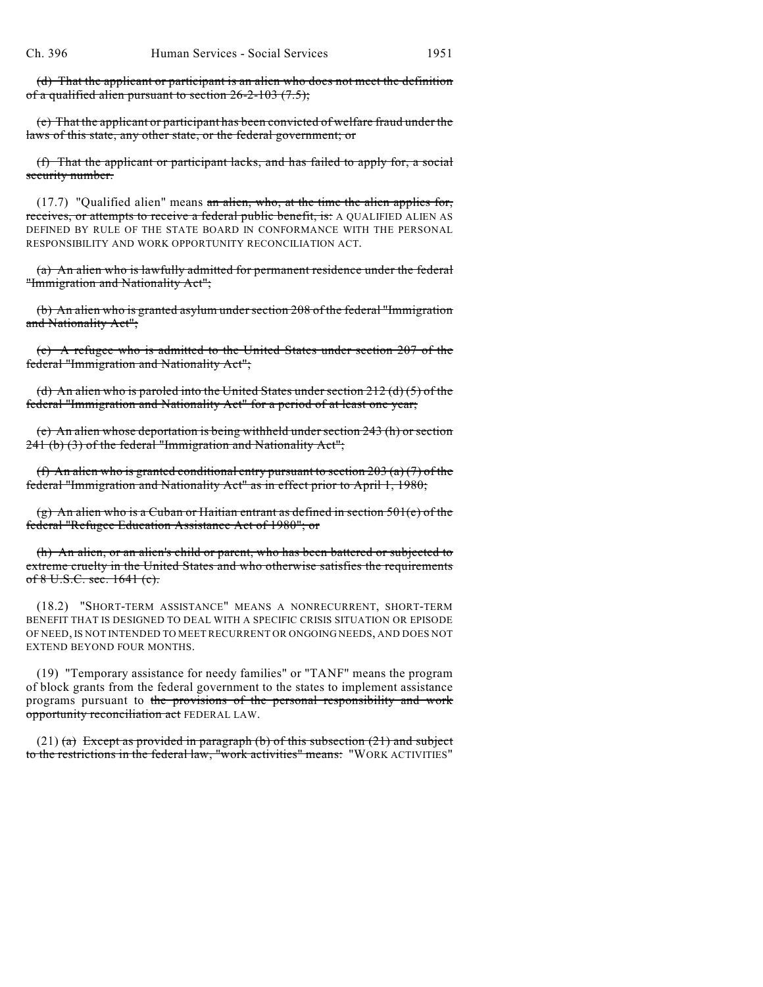(d) That the applicant or participant is an alien who does not meet the definition of a qualified alien pursuant to section  $26-2-103$  (7.5);

(e) That the applicant or participant has been convicted of welfare fraud under the laws of this state, any other state, or the federal government; or

(f) That the applicant or participant lacks, and has failed to apply for, a social security number.

 $(17.7)$  "Qualified alien" means an alien, who, at the time the alien applies for, receives, or attempts to receive a federal public benefit, is: A QUALIFIED ALIEN AS DEFINED BY RULE OF THE STATE BOARD IN CONFORMANCE WITH THE PERSONAL RESPONSIBILITY AND WORK OPPORTUNITY RECONCILIATION ACT.

(a) An alien who is lawfully admitted for permanent residence under the federal "Immigration and Nationality Act";

(b) An alien who is granted asylum under section 208 of the federal "Immigration and Nationality Act";

(c) A refugee who is admitted to the United States under section 207 of the federal "Immigration and Nationality Act";

(d) An alien who is paroled into the United States under section  $212$  (d) (5) of the federal "Immigration and Nationality Act" for a period of at least one year;

(e) An alien whose deportation is being withheld under section 243 (h) or section 241 (b) (3) of the federal "Immigration and Nationality Act";

(f) An alien who is granted conditional entry pursuant to section  $203(a)(7)$  of the federal "Immigration and Nationality Act" as in effect prior to April 1, 1980;

(g) An alien who is a Cuban or Haitian entrant as defined in section  $501(e)$  of the federal "Refugee Education Assistance Act of 1980"; or

(h) An alien, or an alien's child or parent, who has been battered or subjected to extreme cruelty in the United States and who otherwise satisfies the requirements of 8 U.S.C. sec. 1641 (c).

(18.2) "SHORT-TERM ASSISTANCE" MEANS A NONRECURRENT, SHORT-TERM BENEFIT THAT IS DESIGNED TO DEAL WITH A SPECIFIC CRISIS SITUATION OR EPISODE OF NEED, IS NOT INTENDED TO MEET RECURRENT OR ONGOING NEEDS, AND DOES NOT EXTEND BEYOND FOUR MONTHS.

(19) "Temporary assistance for needy families" or "TANF" means the program of block grants from the federal government to the states to implement assistance programs pursuant to the provisions of the personal responsibility and work opportunity reconciliation act FEDERAL LAW.

(21) (a) Except as provided in paragraph (b) of this subsection  $(21)$  and subject to the restrictions in the federal law, "work activities" means: "WORK ACTIVITIES"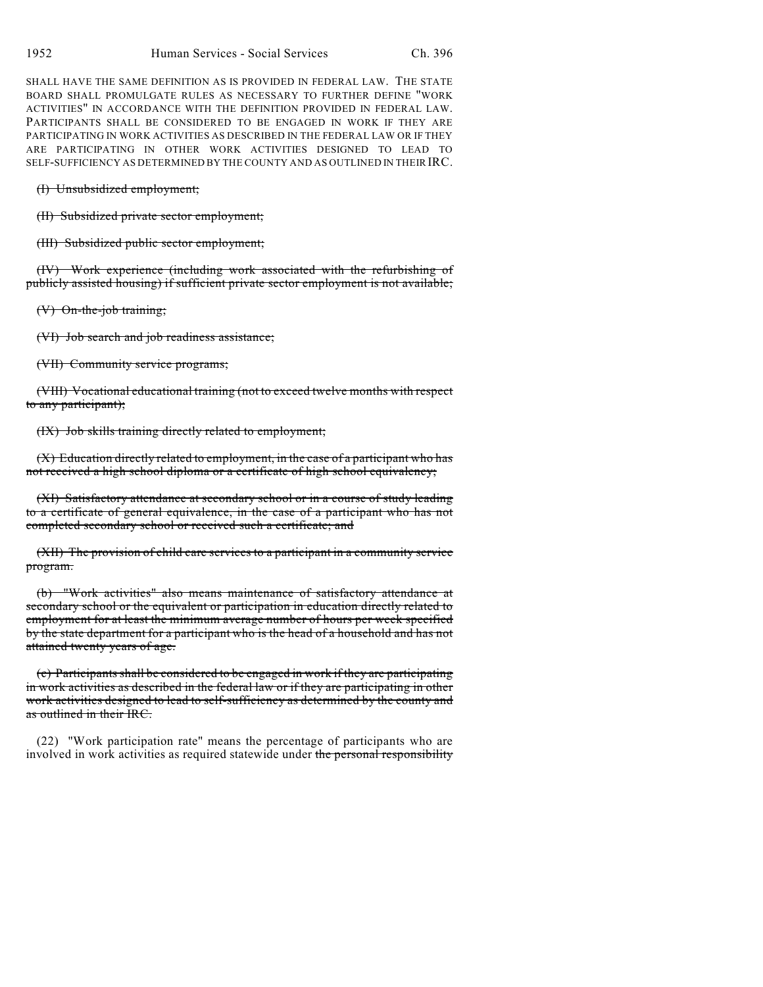SHALL HAVE THE SAME DEFINITION AS IS PROVIDED IN FEDERAL LAW. THE STATE BOARD SHALL PROMULGATE RULES AS NECESSARY TO FURTHER DEFINE "WORK ACTIVITIES" IN ACCORDANCE WITH THE DEFINITION PROVIDED IN FEDERAL LAW. PARTICIPANTS SHALL BE CONSIDERED TO BE ENGAGED IN WORK IF THEY ARE PARTICIPATING IN WORK ACTIVITIES AS DESCRIBED IN THE FEDERAL LAW OR IF THEY ARE PARTICIPATING IN OTHER WORK ACTIVITIES DESIGNED TO LEAD TO SELF-SUFFICIENCY AS DETERMINED BY THE COUNTY AND AS OUTLINED IN THEIR IRC.

(I) Unsubsidized employment;

(II) Subsidized private sector employment;

(III) Subsidized public sector employment;

(IV) Work experience (including work associated with the refurbishing of publicly assisted housing) if sufficient private sector employment is not available;

(V) On-the-job training;

(VI) Job search and job readiness assistance;

(VII) Community service programs;

(VIII) Vocational educational training (not to exceed twelve months with respect to any participant);

(IX) Job skills training directly related to employment;

(X) Education directly related to employment, in the case of a participant who has not received a high school diploma or a certificate of high school equivalency;

(XI) Satisfactory attendance at secondary school or in a course of study leading to a certificate of general equivalence, in the case of a participant who has not completed secondary school or received such a certificate; and

(XII) The provision of child care services to a participant in a community service program.

(b) "Work activities" also means maintenance of satisfactory attendance at secondary school or the equivalent or participation in education directly related to employment for at least the minimum average number of hours per week specified by the state department for a participant who is the head of a household and has not attained twenty years of age.

(c) Participants shall be considered to be engaged in work if they are participating in work activities as described in the federal law or if they are participating in other work activities designed to lead to self-sufficiency as determined by the county and as outlined in their IRC.

(22) "Work participation rate" means the percentage of participants who are involved in work activities as required statewide under the personal responsibility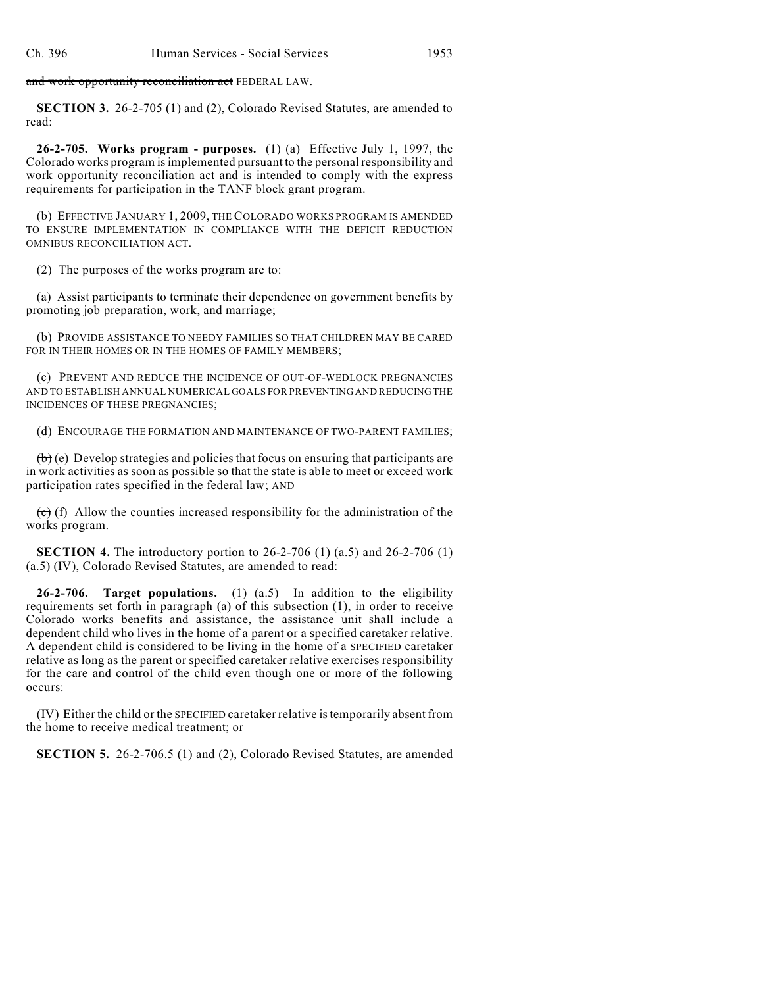and work opportunity reconciliation act FEDERAL LAW.

**SECTION 3.** 26-2-705 (1) and (2), Colorado Revised Statutes, are amended to read:

**26-2-705. Works program - purposes.** (1) (a) Effective July 1, 1997, the Colorado works program is implemented pursuant to the personal responsibility and work opportunity reconciliation act and is intended to comply with the express requirements for participation in the TANF block grant program.

(b) EFFECTIVE JANUARY 1, 2009, THE COLORADO WORKS PROGRAM IS AMENDED TO ENSURE IMPLEMENTATION IN COMPLIANCE WITH THE DEFICIT REDUCTION OMNIBUS RECONCILIATION ACT.

(2) The purposes of the works program are to:

(a) Assist participants to terminate their dependence on government benefits by promoting job preparation, work, and marriage;

(b) PROVIDE ASSISTANCE TO NEEDY FAMILIES SO THAT CHILDREN MAY BE CARED FOR IN THEIR HOMES OR IN THE HOMES OF FAMILY MEMBERS;

(c) PREVENT AND REDUCE THE INCIDENCE OF OUT-OF-WEDLOCK PREGNANCIES AND TO ESTABLISH ANNUAL NUMERICAL GOALS FOR PREVENTING AND REDUCING THE INCIDENCES OF THESE PREGNANCIES;

(d) ENCOURAGE THE FORMATION AND MAINTENANCE OF TWO-PARENT FAMILIES;

 $(\theta)$  (e) Develop strategies and policies that focus on ensuring that participants are in work activities as soon as possible so that the state is able to meet or exceed work participation rates specified in the federal law; AND

 $\left(\mathbf{c}\right)$  (f) Allow the counties increased responsibility for the administration of the works program.

**SECTION 4.** The introductory portion to 26-2-706 (1) (a.5) and 26-2-706 (1) (a.5) (IV), Colorado Revised Statutes, are amended to read:

**26-2-706. Target populations.** (1) (a.5) In addition to the eligibility requirements set forth in paragraph (a) of this subsection (1), in order to receive Colorado works benefits and assistance, the assistance unit shall include a dependent child who lives in the home of a parent or a specified caretaker relative. A dependent child is considered to be living in the home of a SPECIFIED caretaker relative as long as the parent or specified caretaker relative exercises responsibility for the care and control of the child even though one or more of the following occurs:

(IV) Either the child or the SPECIFIED caretaker relative is temporarily absent from the home to receive medical treatment; or

**SECTION 5.** 26-2-706.5 (1) and (2), Colorado Revised Statutes, are amended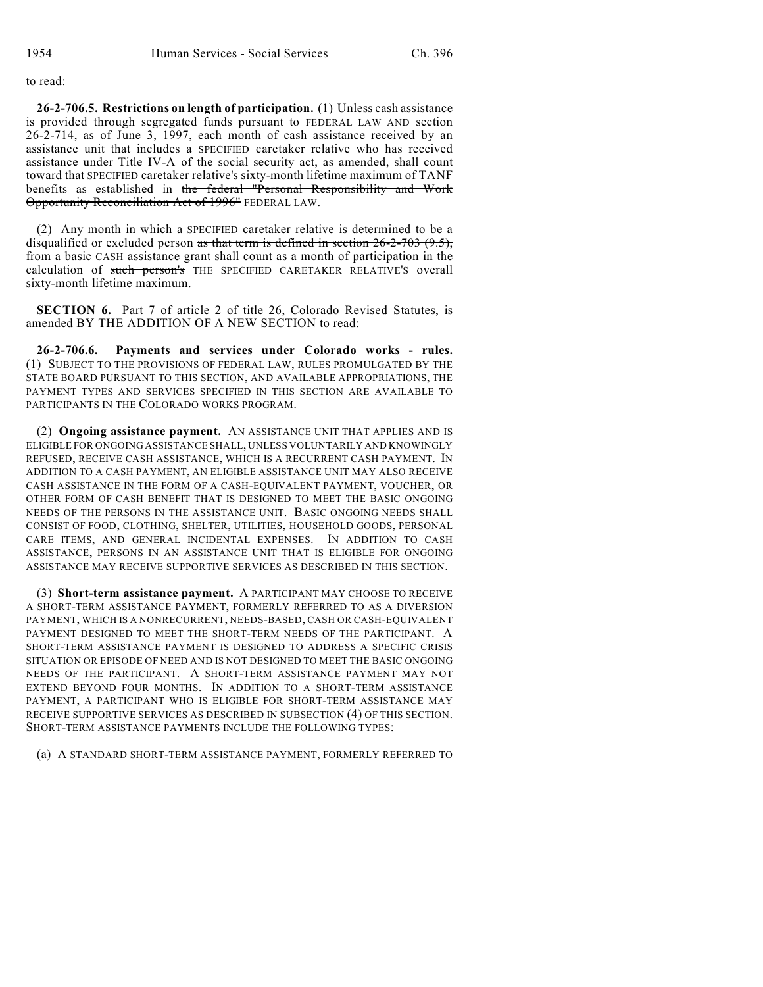to read:

**26-2-706.5. Restrictions on length of participation.** (1) Unless cash assistance is provided through segregated funds pursuant to FEDERAL LAW AND section 26-2-714, as of June 3, 1997, each month of cash assistance received by an assistance unit that includes a SPECIFIED caretaker relative who has received assistance under Title IV-A of the social security act, as amended, shall count toward that SPECIFIED caretaker relative's sixty-month lifetime maximum of TANF benefits as established in the federal "Personal Responsibility and Work Opportunity Reconciliation Act of 1996" FEDERAL LAW.

(2) Any month in which a SPECIFIED caretaker relative is determined to be a disqualified or excluded person as that term is defined in section  $26-2-703$  (9.5), from a basic CASH assistance grant shall count as a month of participation in the calculation of such person's THE SPECIFIED CARETAKER RELATIVE'S overall sixty-month lifetime maximum.

**SECTION 6.** Part 7 of article 2 of title 26, Colorado Revised Statutes, is amended BY THE ADDITION OF A NEW SECTION to read:

**26-2-706.6. Payments and services under Colorado works - rules.** (1) SUBJECT TO THE PROVISIONS OF FEDERAL LAW, RULES PROMULGATED BY THE STATE BOARD PURSUANT TO THIS SECTION, AND AVAILABLE APPROPRIATIONS, THE PAYMENT TYPES AND SERVICES SPECIFIED IN THIS SECTION ARE AVAILABLE TO PARTICIPANTS IN THE COLORADO WORKS PROGRAM.

(2) **Ongoing assistance payment.** AN ASSISTANCE UNIT THAT APPLIES AND IS ELIGIBLE FOR ONGOING ASSISTANCE SHALL, UNLESS VOLUNTARILY AND KNOWINGLY REFUSED, RECEIVE CASH ASSISTANCE, WHICH IS A RECURRENT CASH PAYMENT. IN ADDITION TO A CASH PAYMENT, AN ELIGIBLE ASSISTANCE UNIT MAY ALSO RECEIVE CASH ASSISTANCE IN THE FORM OF A CASH-EQUIVALENT PAYMENT, VOUCHER, OR OTHER FORM OF CASH BENEFIT THAT IS DESIGNED TO MEET THE BASIC ONGOING NEEDS OF THE PERSONS IN THE ASSISTANCE UNIT. BASIC ONGOING NEEDS SHALL CONSIST OF FOOD, CLOTHING, SHELTER, UTILITIES, HOUSEHOLD GOODS, PERSONAL CARE ITEMS, AND GENERAL INCIDENTAL EXPENSES. IN ADDITION TO CASH ASSISTANCE, PERSONS IN AN ASSISTANCE UNIT THAT IS ELIGIBLE FOR ONGOING ASSISTANCE MAY RECEIVE SUPPORTIVE SERVICES AS DESCRIBED IN THIS SECTION.

(3) **Short-term assistance payment.** A PARTICIPANT MAY CHOOSE TO RECEIVE A SHORT-TERM ASSISTANCE PAYMENT, FORMERLY REFERRED TO AS A DIVERSION PAYMENT, WHICH IS A NONRECURRENT, NEEDS-BASED, CASH OR CASH-EQUIVALENT PAYMENT DESIGNED TO MEET THE SHORT-TERM NEEDS OF THE PARTICIPANT. A SHORT-TERM ASSISTANCE PAYMENT IS DESIGNED TO ADDRESS A SPECIFIC CRISIS SITUATION OR EPISODE OF NEED AND IS NOT DESIGNED TO MEET THE BASIC ONGOING NEEDS OF THE PARTICIPANT. A SHORT-TERM ASSISTANCE PAYMENT MAY NOT EXTEND BEYOND FOUR MONTHS. IN ADDITION TO A SHORT-TERM ASSISTANCE PAYMENT, A PARTICIPANT WHO IS ELIGIBLE FOR SHORT-TERM ASSISTANCE MAY RECEIVE SUPPORTIVE SERVICES AS DESCRIBED IN SUBSECTION (4) OF THIS SECTION. SHORT-TERM ASSISTANCE PAYMENTS INCLUDE THE FOLLOWING TYPES:

(a) A STANDARD SHORT-TERM ASSISTANCE PAYMENT, FORMERLY REFERRED TO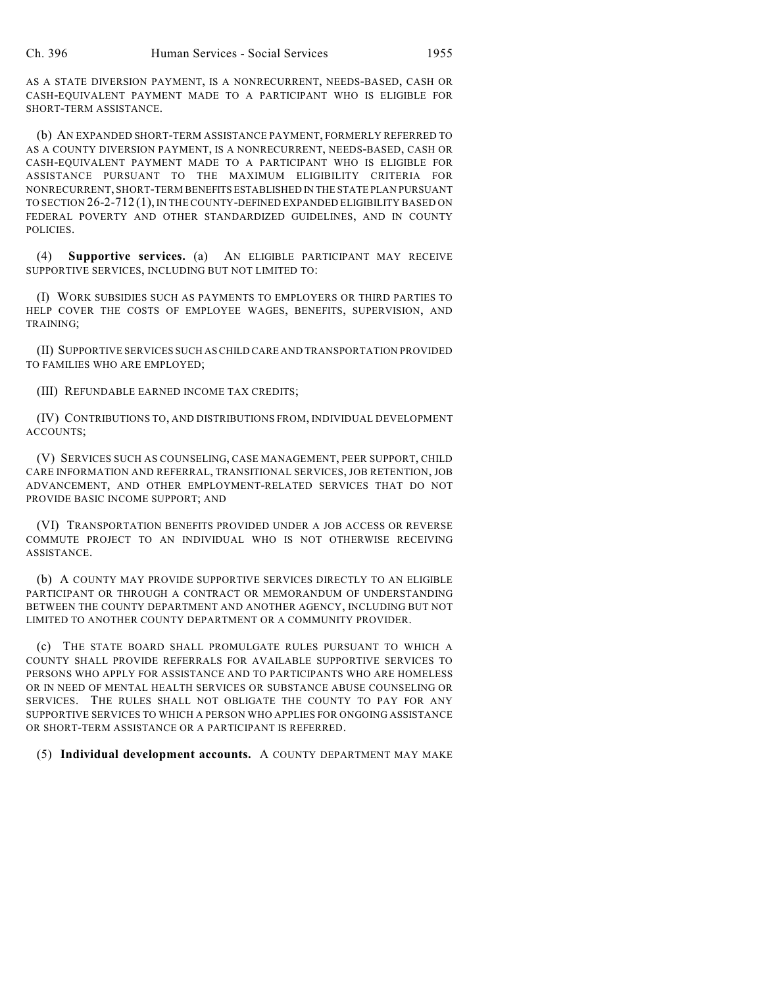AS A STATE DIVERSION PAYMENT, IS A NONRECURRENT, NEEDS-BASED, CASH OR CASH-EQUIVALENT PAYMENT MADE TO A PARTICIPANT WHO IS ELIGIBLE FOR SHORT-TERM ASSISTANCE.

(b) AN EXPANDED SHORT-TERM ASSISTANCE PAYMENT, FORMERLY REFERRED TO AS A COUNTY DIVERSION PAYMENT, IS A NONRECURRENT, NEEDS-BASED, CASH OR CASH-EQUIVALENT PAYMENT MADE TO A PARTICIPANT WHO IS ELIGIBLE FOR ASSISTANCE PURSUANT TO THE MAXIMUM ELIGIBILITY CRITERIA FOR NONRECURRENT, SHORT-TERM BENEFITS ESTABLISHED IN THE STATE PLAN PURSUANT TO SECTION 26-2-712 (1), IN THE COUNTY-DEFINED EXPANDED ELIGIBILITY BASED ON FEDERAL POVERTY AND OTHER STANDARDIZED GUIDELINES, AND IN COUNTY POLICIES.

(4) **Supportive services.** (a) AN ELIGIBLE PARTICIPANT MAY RECEIVE SUPPORTIVE SERVICES, INCLUDING BUT NOT LIMITED TO:

(I) WORK SUBSIDIES SUCH AS PAYMENTS TO EMPLOYERS OR THIRD PARTIES TO HELP COVER THE COSTS OF EMPLOYEE WAGES, BENEFITS, SUPERVISION, AND TRAINING;

(II) SUPPORTIVE SERVICES SUCH AS CHILD CARE AND TRANSPORTATION PROVIDED TO FAMILIES WHO ARE EMPLOYED;

(III) REFUNDABLE EARNED INCOME TAX CREDITS;

(IV) CONTRIBUTIONS TO, AND DISTRIBUTIONS FROM, INDIVIDUAL DEVELOPMENT ACCOUNTS;

(V) SERVICES SUCH AS COUNSELING, CASE MANAGEMENT, PEER SUPPORT, CHILD CARE INFORMATION AND REFERRAL, TRANSITIONAL SERVICES, JOB RETENTION, JOB ADVANCEMENT, AND OTHER EMPLOYMENT-RELATED SERVICES THAT DO NOT PROVIDE BASIC INCOME SUPPORT; AND

(VI) TRANSPORTATION BENEFITS PROVIDED UNDER A JOB ACCESS OR REVERSE COMMUTE PROJECT TO AN INDIVIDUAL WHO IS NOT OTHERWISE RECEIVING ASSISTANCE.

(b) A COUNTY MAY PROVIDE SUPPORTIVE SERVICES DIRECTLY TO AN ELIGIBLE PARTICIPANT OR THROUGH A CONTRACT OR MEMORANDUM OF UNDERSTANDING BETWEEN THE COUNTY DEPARTMENT AND ANOTHER AGENCY, INCLUDING BUT NOT LIMITED TO ANOTHER COUNTY DEPARTMENT OR A COMMUNITY PROVIDER.

(c) THE STATE BOARD SHALL PROMULGATE RULES PURSUANT TO WHICH A COUNTY SHALL PROVIDE REFERRALS FOR AVAILABLE SUPPORTIVE SERVICES TO PERSONS WHO APPLY FOR ASSISTANCE AND TO PARTICIPANTS WHO ARE HOMELESS OR IN NEED OF MENTAL HEALTH SERVICES OR SUBSTANCE ABUSE COUNSELING OR SERVICES. THE RULES SHALL NOT OBLIGATE THE COUNTY TO PAY FOR ANY SUPPORTIVE SERVICES TO WHICH A PERSON WHO APPLIES FOR ONGOING ASSISTANCE OR SHORT-TERM ASSISTANCE OR A PARTICIPANT IS REFERRED.

(5) **Individual development accounts.** A COUNTY DEPARTMENT MAY MAKE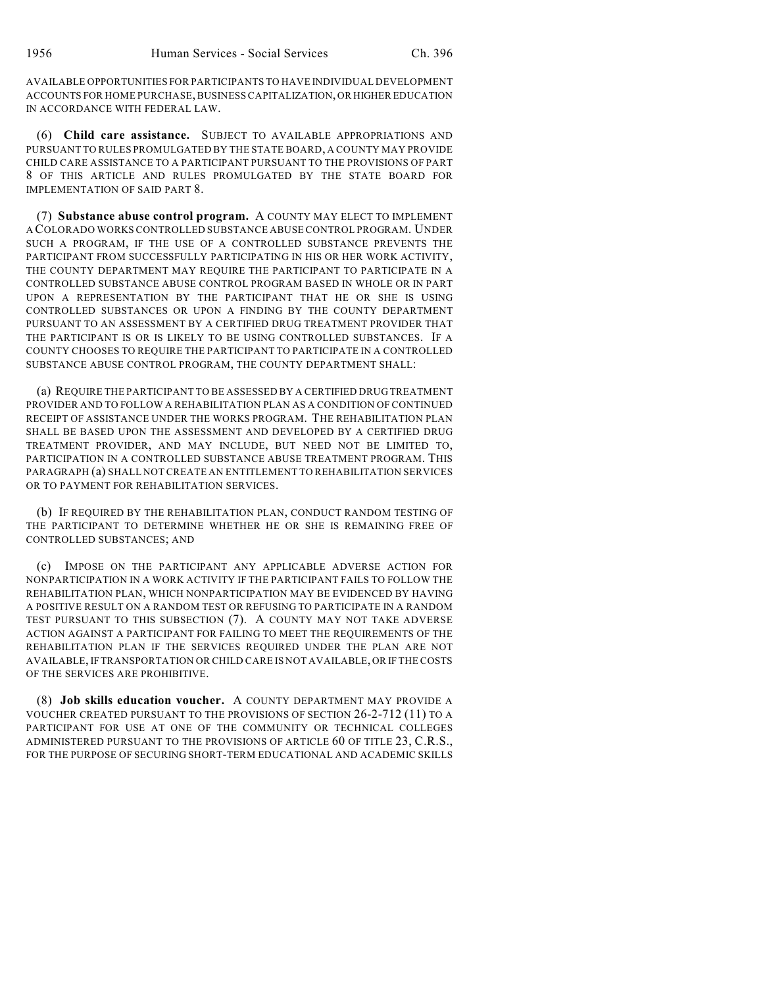AVAILABLE OPPORTUNITIES FOR PARTICIPANTS TO HAVE INDIVIDUAL DEVELOPMENT ACCOUNTS FOR HOME PURCHASE, BUSINESS CAPITALIZATION, OR HIGHER EDUCATION IN ACCORDANCE WITH FEDERAL LAW.

(6) **Child care assistance.** SUBJECT TO AVAILABLE APPROPRIATIONS AND PURSUANT TO RULES PROMULGATED BY THE STATE BOARD, A COUNTY MAY PROVIDE CHILD CARE ASSISTANCE TO A PARTICIPANT PURSUANT TO THE PROVISIONS OF PART 8 OF THIS ARTICLE AND RULES PROMULGATED BY THE STATE BOARD FOR IMPLEMENTATION OF SAID PART 8.

(7) **Substance abuse control program.** A COUNTY MAY ELECT TO IMPLEMENT A COLORADO WORKS CONTROLLED SUBSTANCE ABUSE CONTROL PROGRAM. UNDER SUCH A PROGRAM, IF THE USE OF A CONTROLLED SUBSTANCE PREVENTS THE PARTICIPANT FROM SUCCESSFULLY PARTICIPATING IN HIS OR HER WORK ACTIVITY, THE COUNTY DEPARTMENT MAY REQUIRE THE PARTICIPANT TO PARTICIPATE IN A CONTROLLED SUBSTANCE ABUSE CONTROL PROGRAM BASED IN WHOLE OR IN PART UPON A REPRESENTATION BY THE PARTICIPANT THAT HE OR SHE IS USING CONTROLLED SUBSTANCES OR UPON A FINDING BY THE COUNTY DEPARTMENT PURSUANT TO AN ASSESSMENT BY A CERTIFIED DRUG TREATMENT PROVIDER THAT THE PARTICIPANT IS OR IS LIKELY TO BE USING CONTROLLED SUBSTANCES. IF A COUNTY CHOOSES TO REQUIRE THE PARTICIPANT TO PARTICIPATE IN A CONTROLLED SUBSTANCE ABUSE CONTROL PROGRAM, THE COUNTY DEPARTMENT SHALL:

(a) REQUIRE THE PARTICIPANT TO BE ASSESSED BY A CERTIFIED DRUG TREATMENT PROVIDER AND TO FOLLOW A REHABILITATION PLAN AS A CONDITION OF CONTINUED RECEIPT OF ASSISTANCE UNDER THE WORKS PROGRAM. THE REHABILITATION PLAN SHALL BE BASED UPON THE ASSESSMENT AND DEVELOPED BY A CERTIFIED DRUG TREATMENT PROVIDER, AND MAY INCLUDE, BUT NEED NOT BE LIMITED TO, PARTICIPATION IN A CONTROLLED SUBSTANCE ABUSE TREATMENT PROGRAM. THIS PARAGRAPH (a) SHALL NOT CREATE AN ENTITLEMENT TO REHABILITATION SERVICES OR TO PAYMENT FOR REHABILITATION SERVICES.

(b) IF REQUIRED BY THE REHABILITATION PLAN, CONDUCT RANDOM TESTING OF THE PARTICIPANT TO DETERMINE WHETHER HE OR SHE IS REMAINING FREE OF CONTROLLED SUBSTANCES; AND

(c) IMPOSE ON THE PARTICIPANT ANY APPLICABLE ADVERSE ACTION FOR NONPARTICIPATION IN A WORK ACTIVITY IF THE PARTICIPANT FAILS TO FOLLOW THE REHABILITATION PLAN, WHICH NONPARTICIPATION MAY BE EVIDENCED BY HAVING A POSITIVE RESULT ON A RANDOM TEST OR REFUSING TO PARTICIPATE IN A RANDOM TEST PURSUANT TO THIS SUBSECTION (7). A COUNTY MAY NOT TAKE ADVERSE ACTION AGAINST A PARTICIPANT FOR FAILING TO MEET THE REQUIREMENTS OF THE REHABILITATION PLAN IF THE SERVICES REQUIRED UNDER THE PLAN ARE NOT AVAILABLE, IF TRANSPORTATION OR CHILD CARE IS NOT AVAILABLE, OR IF THE COSTS OF THE SERVICES ARE PROHIBITIVE.

(8) **Job skills education voucher.** A COUNTY DEPARTMENT MAY PROVIDE A VOUCHER CREATED PURSUANT TO THE PROVISIONS OF SECTION 26-2-712 (11) TO A PARTICIPANT FOR USE AT ONE OF THE COMMUNITY OR TECHNICAL COLLEGES ADMINISTERED PURSUANT TO THE PROVISIONS OF ARTICLE 60 OF TITLE 23, C.R.S., FOR THE PURPOSE OF SECURING SHORT-TERM EDUCATIONAL AND ACADEMIC SKILLS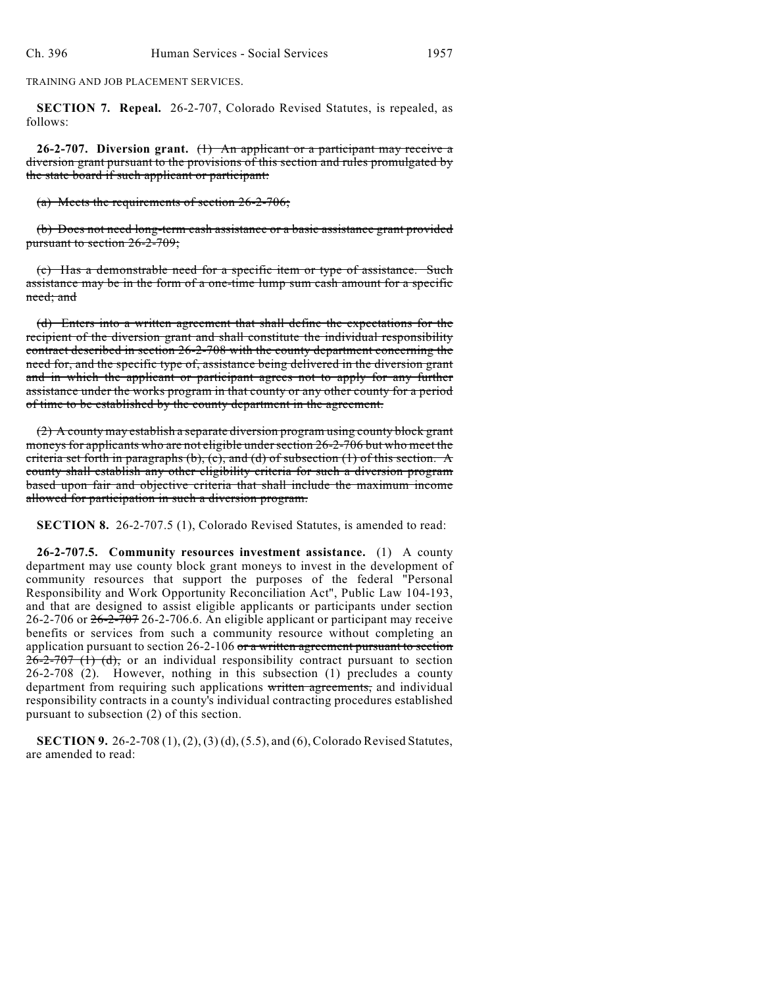TRAINING AND JOB PLACEMENT SERVICES.

**SECTION 7. Repeal.** 26-2-707, Colorado Revised Statutes, is repealed, as follows:

**26-2-707. Diversion grant.** (1) An applicant or a participant may receive a diversion grant pursuant to the provisions of this section and rules promulgated by the state board if such applicant or participant:

(a) Meets the requirements of section 26-2-706;

(b) Does not need long-term cash assistance or a basic assistance grant provided pursuant to section 26-2-709;

(c) Has a demonstrable need for a specific item or type of assistance. Such assistance may be in the form of a one-time lump sum cash amount for a specific need; and

(d) Enters into a written agreement that shall define the expectations for the recipient of the diversion grant and shall constitute the individual responsibility contract described in section 26-2-708 with the county department concerning the need for, and the specific type of, assistance being delivered in the diversion grant and in which the applicant or participant agrees not to apply for any further assistance under the works program in that county or any other county for a period of time to be established by the county department in the agreement.

(2) A county may establish a separate diversion program using county block grant moneys for applicants who are not eligible under section 26-2-706 but who meet the criteria set forth in paragraphs (b), (c), and (d) of subsection (1) of this section. A county shall establish any other eligibility criteria for such a diversion program based upon fair and objective criteria that shall include the maximum income allowed for participation in such a diversion program.

**SECTION 8.** 26-2-707.5 (1), Colorado Revised Statutes, is amended to read:

**26-2-707.5. Community resources investment assistance.** (1) A county department may use county block grant moneys to invest in the development of community resources that support the purposes of the federal "Personal Responsibility and Work Opportunity Reconciliation Act", Public Law 104-193, and that are designed to assist eligible applicants or participants under section 26-2-706 or 26-2-707 26-2-706.6. An eligible applicant or participant may receive benefits or services from such a community resource without completing an application pursuant to section 26-2-106 or a written agreement pursuant to section  $26-2-707$  (1) (d), or an individual responsibility contract pursuant to section 26-2-708 (2). However, nothing in this subsection (1) precludes a county department from requiring such applications written agreements, and individual responsibility contracts in a county's individual contracting procedures established pursuant to subsection (2) of this section.

**SECTION 9.** 26-2-708 (1), (2), (3) (d), (5.5), and (6), Colorado Revised Statutes, are amended to read: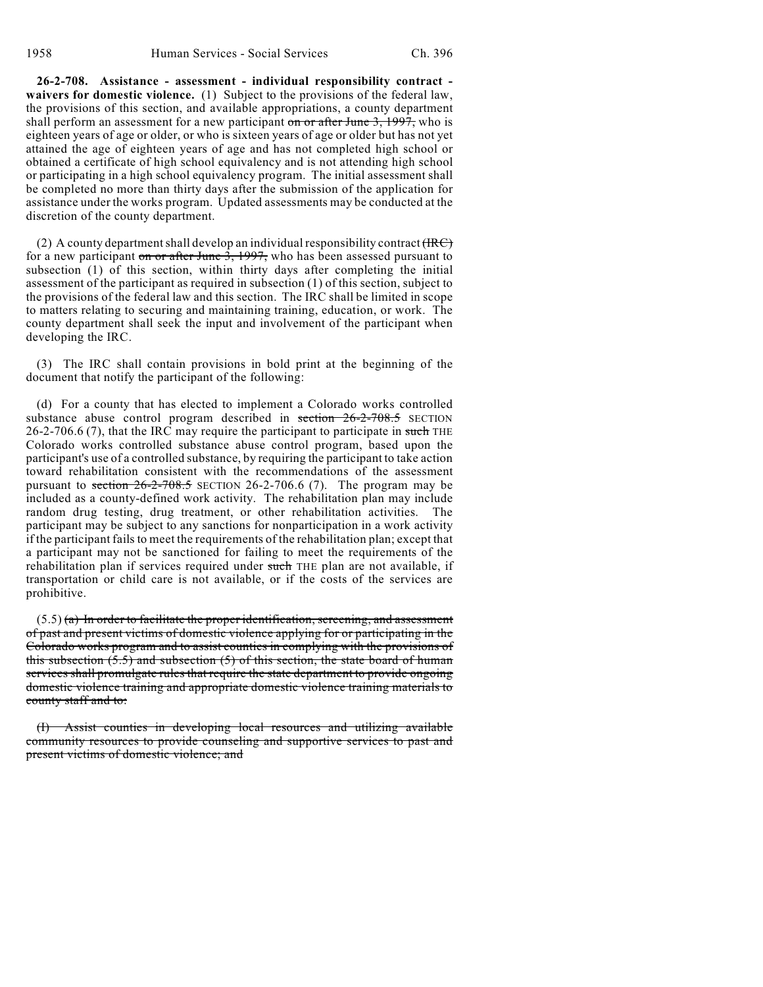**26-2-708. Assistance - assessment - individual responsibility contract waivers for domestic violence.** (1) Subject to the provisions of the federal law, the provisions of this section, and available appropriations, a county department shall perform an assessment for a new participant on or after June  $3$ , 1997, who is eighteen years of age or older, or who is sixteen years of age or older but has not yet attained the age of eighteen years of age and has not completed high school or obtained a certificate of high school equivalency and is not attending high school or participating in a high school equivalency program. The initial assessment shall be completed no more than thirty days after the submission of the application for assistance under the works program. Updated assessments may be conducted at the discretion of the county department.

(2) A county department shall develop an individual responsibility contract  $(HRT)$ for a new participant on or after June 3, 1997, who has been assessed pursuant to subsection (1) of this section, within thirty days after completing the initial assessment of the participant as required in subsection (1) of this section, subject to the provisions of the federal law and this section. The IRC shall be limited in scope to matters relating to securing and maintaining training, education, or work. The county department shall seek the input and involvement of the participant when developing the IRC.

(3) The IRC shall contain provisions in bold print at the beginning of the document that notify the participant of the following:

(d) For a county that has elected to implement a Colorado works controlled substance abuse control program described in  $\frac{\text{section} - 26 - 2 - 708.5}{\text{SECTION}}$ 26-2-706.6 (7), that the IRC may require the participant to participate in such THE Colorado works controlled substance abuse control program, based upon the participant's use of a controlled substance, by requiring the participant to take action toward rehabilitation consistent with the recommendations of the assessment pursuant to section  $26-2-708.5$  SECTION 26-2-706.6 (7). The program may be included as a county-defined work activity. The rehabilitation plan may include random drug testing, drug treatment, or other rehabilitation activities. The participant may be subject to any sanctions for nonparticipation in a work activity if the participant fails to meet the requirements of the rehabilitation plan; except that a participant may not be sanctioned for failing to meet the requirements of the rehabilitation plan if services required under such THE plan are not available, if transportation or child care is not available, or if the costs of the services are prohibitive.

 $(5.5)$  (a) In order to facilitate the proper identification, screening, and assessment of past and present victims of domestic violence applying for or participating in the Colorado works program and to assist counties in complying with the provisions of this subsection  $(5.5)$  and subsection  $(5)$  of this section, the state board of human services shall promulgate rules that require the state department to provide ongoing domestic violence training and appropriate domestic violence training materials to county staff and to:

(I) Assist counties in developing local resources and utilizing available community resources to provide counseling and supportive services to past and present victims of domestic violence; and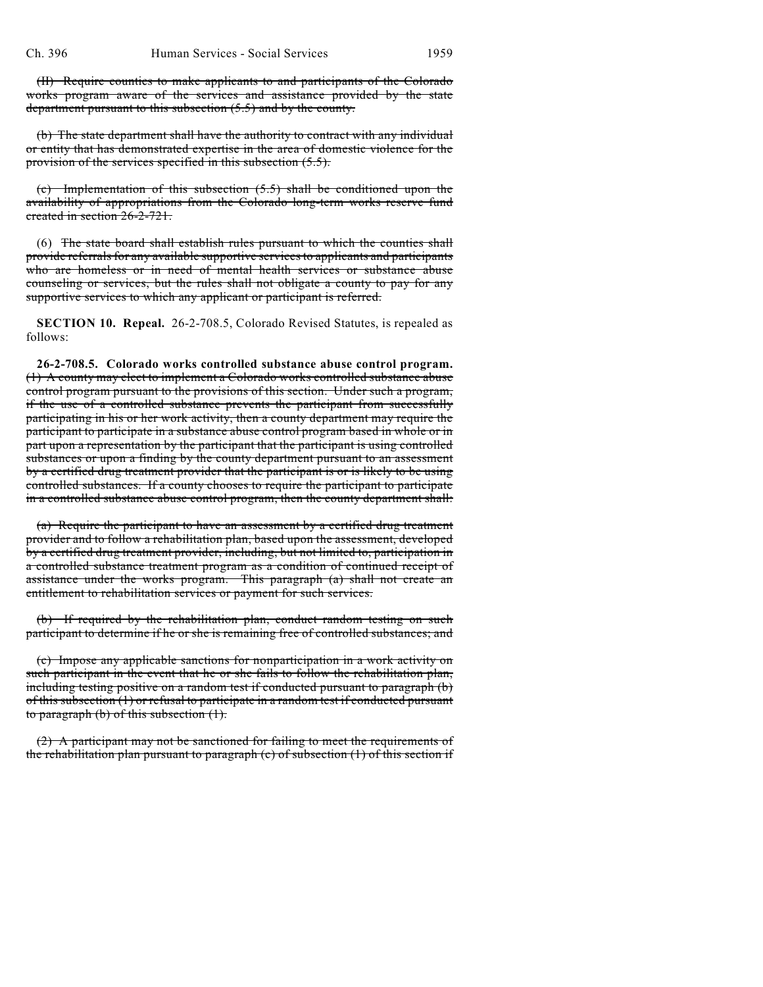(II) Require counties to make applicants to and participants of the Colorado works program aware of the services and assistance provided by the state department pursuant to this subsection  $(5.5)$  and by the county.

(b) The state department shall have the authority to contract with any individual or entity that has demonstrated expertise in the area of domestic violence for the provision of the services specified in this subsection (5.5).

(c) Implementation of this subsection (5.5) shall be conditioned upon the availability of appropriations from the Colorado long-term works reserve fund created in section 26-2-721.

(6) The state board shall establish rules pursuant to which the counties shall provide referrals for any available supportive services to applicants and participants who are homeless or in need of mental health services or substance abuse counseling or services, but the rules shall not obligate a county to pay for any supportive services to which any applicant or participant is referred.

**SECTION 10. Repeal.** 26-2-708.5, Colorado Revised Statutes, is repealed as follows:

**26-2-708.5. Colorado works controlled substance abuse control program.** (1) A county may elect to implement a Colorado works controlled substance abuse control program pursuant to the provisions of this section. Under such a program, if the use of a controlled substance prevents the participant from successfully participating in his or her work activity, then a county department may require the participant to participate in a substance abuse control program based in whole or in part upon a representation by the participant that the participant is using controlled substances or upon a finding by the county department pursuant to an assessment by a certified drug treatment provider that the participant is or is likely to be using controlled substances. If a county chooses to require the participant to participate in a controlled substance abuse control program, then the county department shall:

(a) Require the participant to have an assessment by a certified drug treatment provider and to follow a rehabilitation plan, based upon the assessment, developed by a certified drug treatment provider, including, but not limited to, participation in a controlled substance treatment program as a condition of continued receipt of assistance under the works program. This paragraph (a) shall not create an entitlement to rehabilitation services or payment for such services.

(b) If required by the rehabilitation plan, conduct random testing on such participant to determine if he or she is remaining free of controlled substances; and

(c) Impose any applicable sanctions for nonparticipation in a work activity on such participant in the event that he or she fails to follow the rehabilitation plan, including testing positive on a random test if conducted pursuant to paragraph (b) of this subsection (1) or refusal to participate in a random test if conducted pursuant to paragraph (b) of this subsection (1).

(2) A participant may not be sanctioned for failing to meet the requirements of the rehabilitation plan pursuant to paragraph  $(c)$  of subsection  $(1)$  of this section if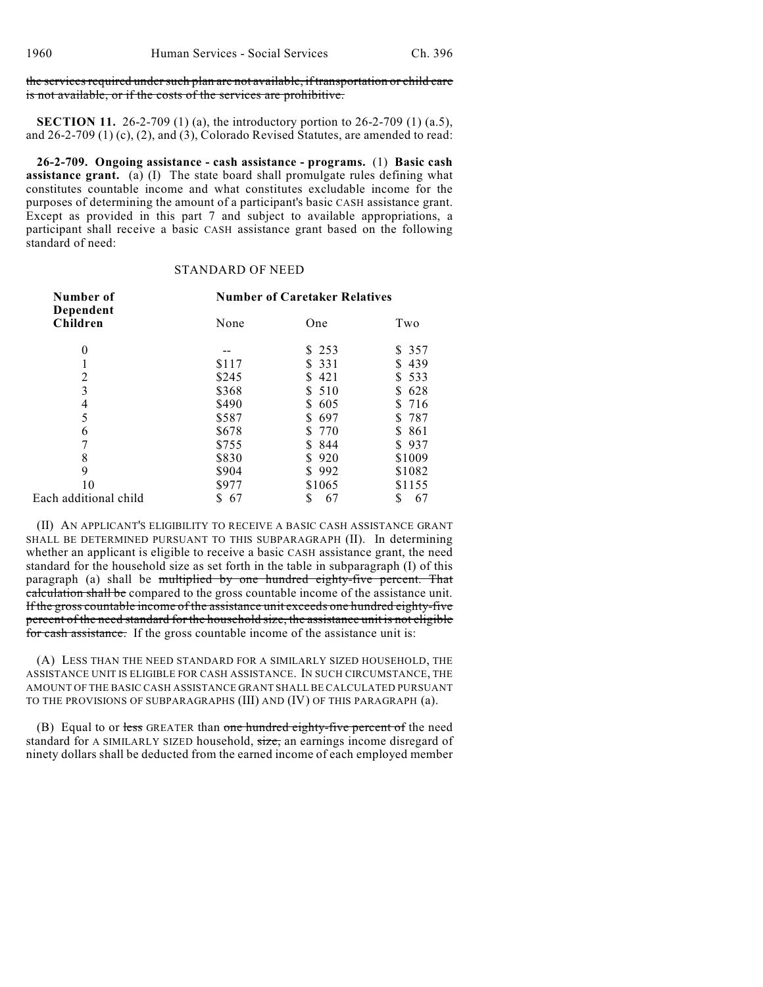#### the services required under such plan are not available, if transportation or child care is not available, or if the costs of the services are prohibitive.

**SECTION 11.** 26-2-709 (1) (a), the introductory portion to 26-2-709 (1) (a.5), and 26-2-709 (1) (c), (2), and (3), Colorado Revised Statutes, are amended to read:

**26-2-709. Ongoing assistance - cash assistance - programs.** (1) **Basic cash assistance grant.** (a) (I) The state board shall promulgate rules defining what constitutes countable income and what constitutes excludable income for the purposes of determining the amount of a participant's basic CASH assistance grant. Except as provided in this part 7 and subject to available appropriations, a participant shall receive a basic CASH assistance grant based on the following standard of need:

# STANDARD OF NEED

| Number of<br>Dependent<br>Children | <b>Number of Caretaker Relatives</b> |           |            |
|------------------------------------|--------------------------------------|-----------|------------|
|                                    | None                                 | One       | Two        |
| $\boldsymbol{0}$                   |                                      | \$253     | \$ 357     |
|                                    | \$117                                | \$ 331    | 439<br>S   |
| $\overline{c}$                     | \$245                                | 421<br>S. | 533<br>S   |
| 3                                  | \$368                                | 510<br>S. | 628<br>S   |
| 4                                  | \$490                                | 605<br>S. | 716<br>S.  |
| 5                                  | \$587                                | 697<br>S. | 787<br>S   |
| 6                                  | \$678                                | 770<br>S. | -861<br>S. |
| 7                                  | \$755                                | 844<br>S. | \$937      |
| 8                                  | \$830                                | 920<br>S. | \$1009     |
| 9                                  | \$904                                | \$992     | \$1082     |
| 10                                 | \$977                                | \$1065    | \$1155     |
| Each additional child              | 67<br>S                              | 67<br>S   | 67<br>S    |

(II) AN APPLICANT'S ELIGIBILITY TO RECEIVE A BASIC CASH ASSISTANCE GRANT SHALL BE DETERMINED PURSUANT TO THIS SUBPARAGRAPH (II). In determining whether an applicant is eligible to receive a basic CASH assistance grant, the need standard for the household size as set forth in the table in subparagraph (I) of this paragraph (a) shall be multiplied by one hundred eighty-five percent. That calculation shall be compared to the gross countable income of the assistance unit. If the gross countable income of the assistance unit exceeds one hundred eighty-five percent of the need standard for the household size, the assistance unit is not eligible for cash assistance. If the gross countable income of the assistance unit is:

(A) LESS THAN THE NEED STANDARD FOR A SIMILARLY SIZED HOUSEHOLD, THE ASSISTANCE UNIT IS ELIGIBLE FOR CASH ASSISTANCE. IN SUCH CIRCUMSTANCE, THE AMOUNT OF THE BASIC CASH ASSISTANCE GRANT SHALL BE CALCULATED PURSUANT TO THE PROVISIONS OF SUBPARAGRAPHS (III) AND (IV) OF THIS PARAGRAPH (a).

(B) Equal to or less GREATER than one hundred eighty-five percent of the need standard for A SIMILARLY SIZED household, size, an earnings income disregard of ninety dollars shall be deducted from the earned income of each employed member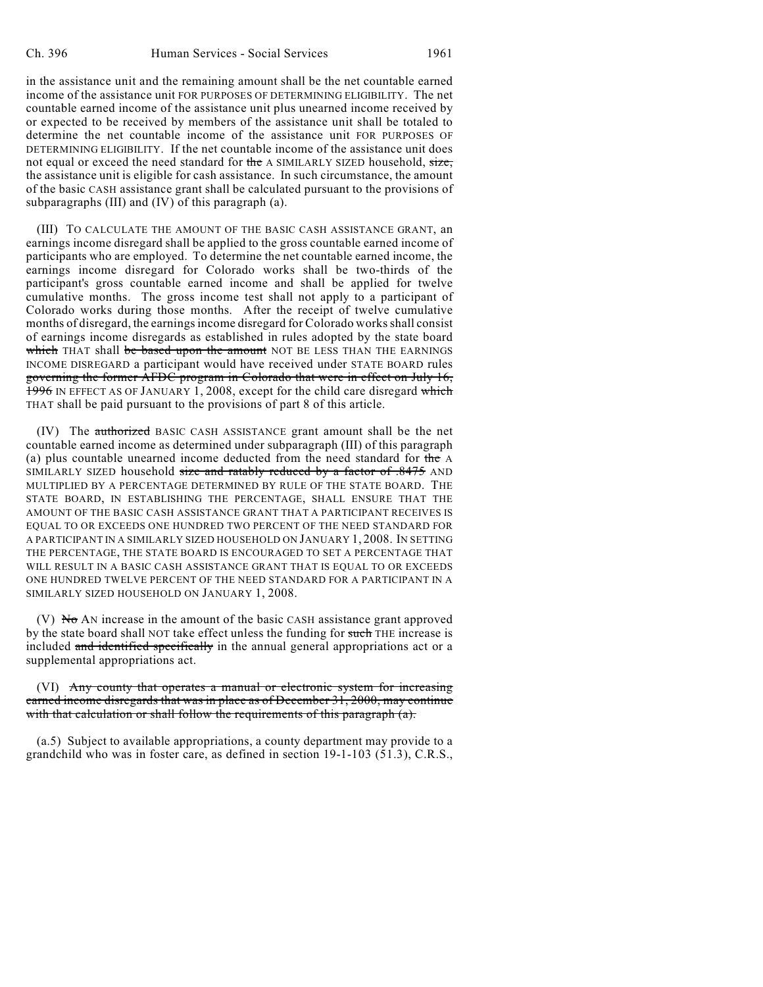in the assistance unit and the remaining amount shall be the net countable earned income of the assistance unit FOR PURPOSES OF DETERMINING ELIGIBILITY. The net countable earned income of the assistance unit plus unearned income received by or expected to be received by members of the assistance unit shall be totaled to determine the net countable income of the assistance unit FOR PURPOSES OF DETERMINING ELIGIBILITY. If the net countable income of the assistance unit does not equal or exceed the need standard for the A SIMILARLY SIZED household, size, the assistance unit is eligible for cash assistance. In such circumstance, the amount of the basic CASH assistance grant shall be calculated pursuant to the provisions of subparagraphs (III) and (IV) of this paragraph (a).

(III) TO CALCULATE THE AMOUNT OF THE BASIC CASH ASSISTANCE GRANT, an earnings income disregard shall be applied to the gross countable earned income of participants who are employed. To determine the net countable earned income, the earnings income disregard for Colorado works shall be two-thirds of the participant's gross countable earned income and shall be applied for twelve cumulative months. The gross income test shall not apply to a participant of Colorado works during those months. After the receipt of twelve cumulative months of disregard, the earnings income disregard for Colorado works shall consist of earnings income disregards as established in rules adopted by the state board which THAT shall be based upon the amount NOT BE LESS THAN THE EARNINGS INCOME DISREGARD a participant would have received under STATE BOARD rules governing the former AFDC program in Colorado that were in effect on July 16, 1996 IN EFFECT AS OF JANUARY 1, 2008, except for the child care disregard which THAT shall be paid pursuant to the provisions of part 8 of this article.

(IV) The authorized BASIC CASH ASSISTANCE grant amount shall be the net countable earned income as determined under subparagraph (III) of this paragraph (a) plus countable unearned income deducted from the need standard for the A SIMILARLY SIZED household size and ratably reduced by a factor of .8475 AND MULTIPLIED BY A PERCENTAGE DETERMINED BY RULE OF THE STATE BOARD. THE STATE BOARD, IN ESTABLISHING THE PERCENTAGE, SHALL ENSURE THAT THE AMOUNT OF THE BASIC CASH ASSISTANCE GRANT THAT A PARTICIPANT RECEIVES IS EQUAL TO OR EXCEEDS ONE HUNDRED TWO PERCENT OF THE NEED STANDARD FOR A PARTICIPANT IN A SIMILARLY SIZED HOUSEHOLD ON JANUARY 1, 2008. IN SETTING THE PERCENTAGE, THE STATE BOARD IS ENCOURAGED TO SET A PERCENTAGE THAT WILL RESULT IN A BASIC CASH ASSISTANCE GRANT THAT IS EOUAL TO OR EXCEEDS ONE HUNDRED TWELVE PERCENT OF THE NEED STANDARD FOR A PARTICIPANT IN A SIMILARLY SIZED HOUSEHOLD ON JANUARY 1, 2008.

(V)  $\overline{N\sigma}$  AN increase in the amount of the basic CASH assistance grant approved by the state board shall NOT take effect unless the funding for such THE increase is included and identified specifically in the annual general appropriations act or a supplemental appropriations act.

### (VI) Any county that operates a manual or electronic system for increasing earned income disregards that was in place as of December 31, 2000, may continue with that calculation or shall follow the requirements of this paragraph (a).

(a.5) Subject to available appropriations, a county department may provide to a grandchild who was in foster care, as defined in section 19-1-103 (51.3), C.R.S.,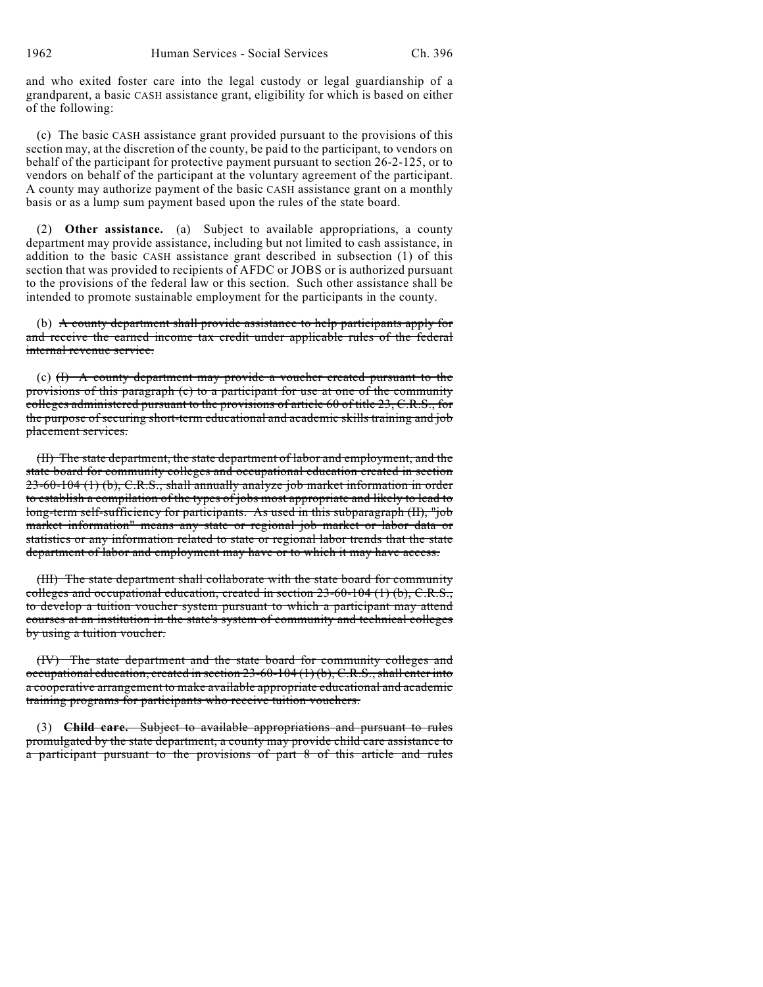and who exited foster care into the legal custody or legal guardianship of a grandparent, a basic CASH assistance grant, eligibility for which is based on either of the following:

(c) The basic CASH assistance grant provided pursuant to the provisions of this section may, at the discretion of the county, be paid to the participant, to vendors on behalf of the participant for protective payment pursuant to section 26-2-125, or to vendors on behalf of the participant at the voluntary agreement of the participant. A county may authorize payment of the basic CASH assistance grant on a monthly basis or as a lump sum payment based upon the rules of the state board.

(2) **Other assistance.** (a) Subject to available appropriations, a county department may provide assistance, including but not limited to cash assistance, in addition to the basic CASH assistance grant described in subsection (1) of this section that was provided to recipients of AFDC or JOBS or is authorized pursuant to the provisions of the federal law or this section. Such other assistance shall be intended to promote sustainable employment for the participants in the county.

(b) A county department shall provide assistance to help participants apply for and receive the earned income tax credit under applicable rules of the federal internal revenue service.

(c) (I) A county department may provide a voucher created pursuant to the provisions of this paragraph (c) to a participant for use at one of the community colleges administered pursuant to the provisions of article 60 of title 23, C.R.S., for the purpose of securing short-term educational and academic skills training and job placement services.

(II) The state department, the state department of labor and employment, and the state board for community colleges and occupational education created in section 23-60-104 (1) (b), C.R.S., shall annually analyze job market information in order to establish a compilation of the types of jobs most appropriate and likely to lead to long-term self-sufficiency for participants. As used in this subparagraph (II), "job market information" means any state or regional job market or labor data or statistics or any information related to state or regional labor trends that the state department of labor and employment may have or to which it may have access.

(III) The state department shall collaborate with the state board for community colleges and occupational education, created in section 23-60-104 (1) (b), C.R.S., to develop a tuition voucher system pursuant to which a participant may attend courses at an institution in the state's system of community and technical colleges by using a tuition voucher.

(IV) The state department and the state board for community colleges and occupational education, created in section 23-60-104 (1) (b), C.R.S., shall enter into a cooperative arrangement to make available appropriate educational and academic training programs for participants who receive tuition vouchers.

(3) **Child care.** Subject to available appropriations and pursuant to rules promulgated by the state department, a county may provide child care assistance to a participant pursuant to the provisions of part 8 of this article and rules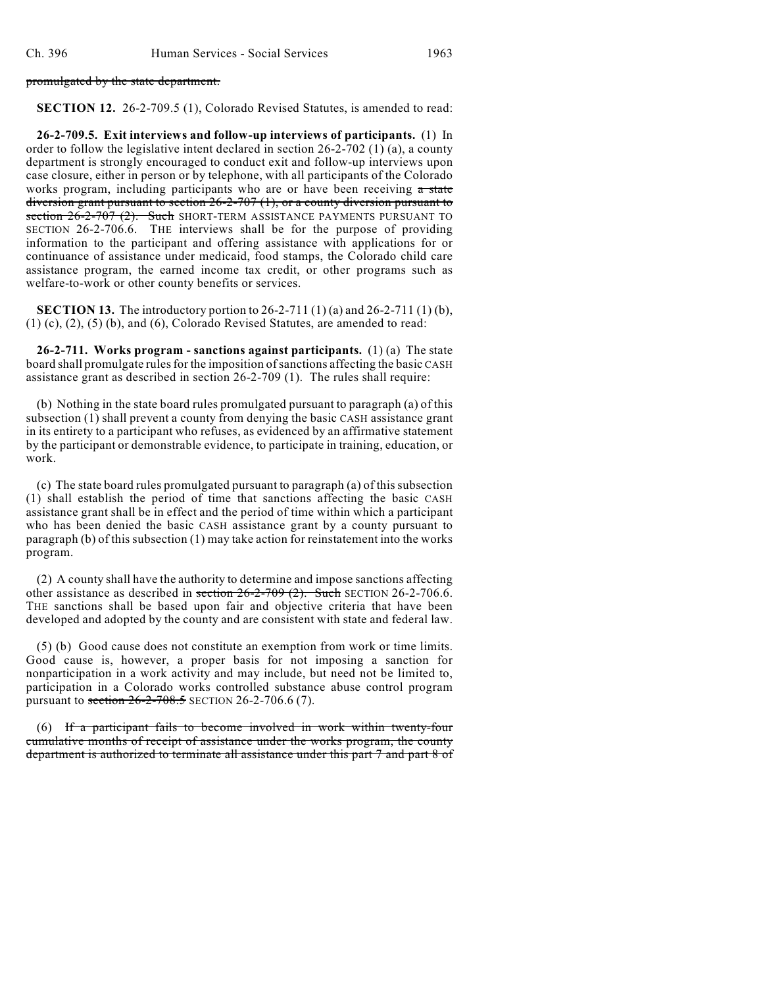#### promulgated by the state department.

**SECTION 12.** 26-2-709.5 (1), Colorado Revised Statutes, is amended to read:

**26-2-709.5. Exit interviews and follow-up interviews of participants.** (1) In order to follow the legislative intent declared in section 26-2-702 (1) (a), a county department is strongly encouraged to conduct exit and follow-up interviews upon case closure, either in person or by telephone, with all participants of the Colorado works program, including participants who are or have been receiving a state diversion grant pursuant to section 26-2-707 (1), or a county diversion pursuant to section 26-2-707 (2). Such SHORT-TERM ASSISTANCE PAYMENTS PURSUANT TO SECTION 26-2-706.6. THE interviews shall be for the purpose of providing information to the participant and offering assistance with applications for or continuance of assistance under medicaid, food stamps, the Colorado child care assistance program, the earned income tax credit, or other programs such as welfare-to-work or other county benefits or services.

**SECTION 13.** The introductory portion to 26-2-711 (1) (a) and 26-2-711 (1) (b),  $(1)$  (c),  $(2)$ ,  $(5)$  (b), and  $(6)$ , Colorado Revised Statutes, are amended to read:

**26-2-711. Works program - sanctions against participants.** (1) (a) The state board shall promulgate rules for the imposition of sanctions affecting the basic CASH assistance grant as described in section 26-2-709 (1). The rules shall require:

(b) Nothing in the state board rules promulgated pursuant to paragraph (a) of this subsection (1) shall prevent a county from denying the basic CASH assistance grant in its entirety to a participant who refuses, as evidenced by an affirmative statement by the participant or demonstrable evidence, to participate in training, education, or work.

(c) The state board rules promulgated pursuant to paragraph (a) of this subsection (1) shall establish the period of time that sanctions affecting the basic CASH assistance grant shall be in effect and the period of time within which a participant who has been denied the basic CASH assistance grant by a county pursuant to paragraph (b) of this subsection (1) may take action for reinstatement into the works program.

(2) A county shall have the authority to determine and impose sanctions affecting other assistance as described in section  $26-2-709$  (2). Such SECTION 26-2-706.6. THE sanctions shall be based upon fair and objective criteria that have been developed and adopted by the county and are consistent with state and federal law.

(5) (b) Good cause does not constitute an exemption from work or time limits. Good cause is, however, a proper basis for not imposing a sanction for nonparticipation in a work activity and may include, but need not be limited to, participation in a Colorado works controlled substance abuse control program pursuant to section  $26-2-708.5$  SECTION 26-2-706.6 (7).

(6) If a participant fails to become involved in work within twenty-four cumulative months of receipt of assistance under the works program, the county department is authorized to terminate all assistance under this part 7 and part 8 of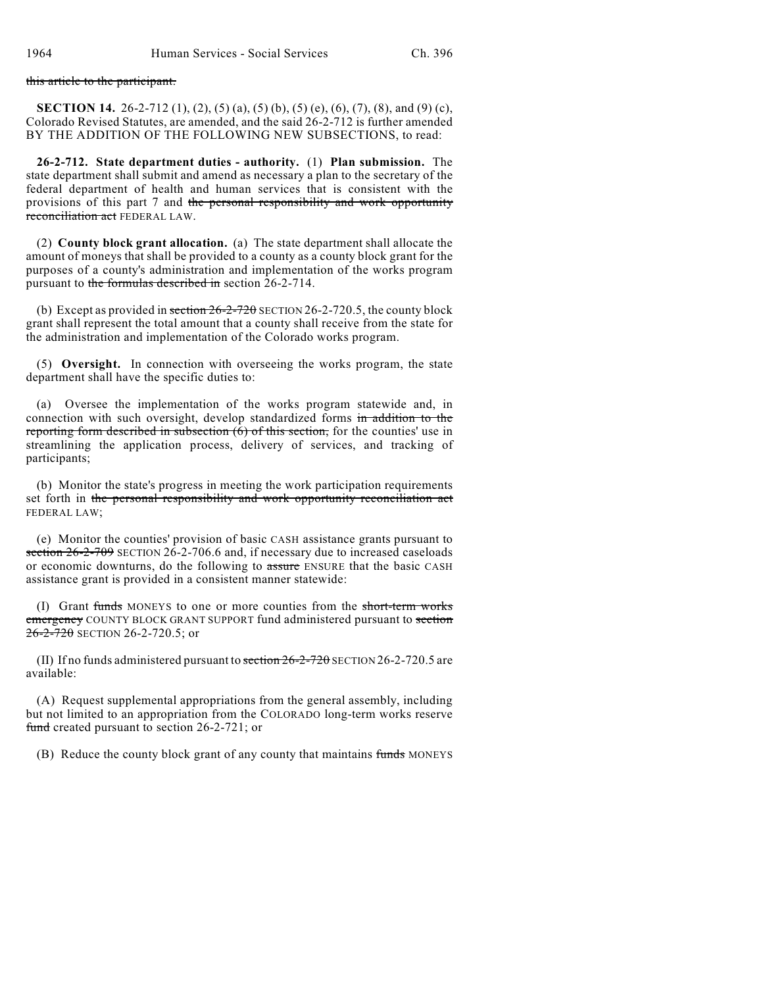#### this article to the participant.

**SECTION 14.** 26-2-712 (1), (2), (5) (a), (5) (b), (5) (e), (6), (7), (8), and (9) (c), Colorado Revised Statutes, are amended, and the said 26-2-712 is further amended BY THE ADDITION OF THE FOLLOWING NEW SUBSECTIONS, to read:

**26-2-712. State department duties - authority.** (1) **Plan submission.** The state department shall submit and amend as necessary a plan to the secretary of the federal department of health and human services that is consistent with the provisions of this part 7 and the personal responsibility and work opportunity reconciliation act FEDERAL LAW.

(2) **County block grant allocation.** (a) The state department shall allocate the amount of moneys that shall be provided to a county as a county block grant for the purposes of a county's administration and implementation of the works program pursuant to the formulas described in section 26-2-714.

(b) Except as provided in section  $26-2-720$  SECTION 26-2-720.5, the county block grant shall represent the total amount that a county shall receive from the state for the administration and implementation of the Colorado works program.

(5) **Oversight.** In connection with overseeing the works program, the state department shall have the specific duties to:

(a) Oversee the implementation of the works program statewide and, in connection with such oversight, develop standardized forms in addition to the reporting form described in subsection  $\overline{(6)}$  of this section, for the counties' use in streamlining the application process, delivery of services, and tracking of participants;

(b) Monitor the state's progress in meeting the work participation requirements set forth in the personal responsibility and work opportunity reconciliation act FEDERAL LAW;

(e) Monitor the counties' provision of basic CASH assistance grants pursuant to section 26-2-709 SECTION 26-2-706.6 and, if necessary due to increased caseloads or economic downturns, do the following to assure ENSURE that the basic CASH assistance grant is provided in a consistent manner statewide:

(I) Grant funds MONEYS to one or more counties from the short-term works emergency COUNTY BLOCK GRANT SUPPORT fund administered pursuant to section  $26 - 2 - 720$  SECTION 26-2-720.5; or

(II) If no funds administered pursuant to  $\frac{\pi}{6}$  = 2-720 SECTION 26-2-720.5 are available:

(A) Request supplemental appropriations from the general assembly, including but not limited to an appropriation from the COLORADO long-term works reserve fund created pursuant to section 26-2-721; or

(B) Reduce the county block grant of any county that maintains funds MONEYS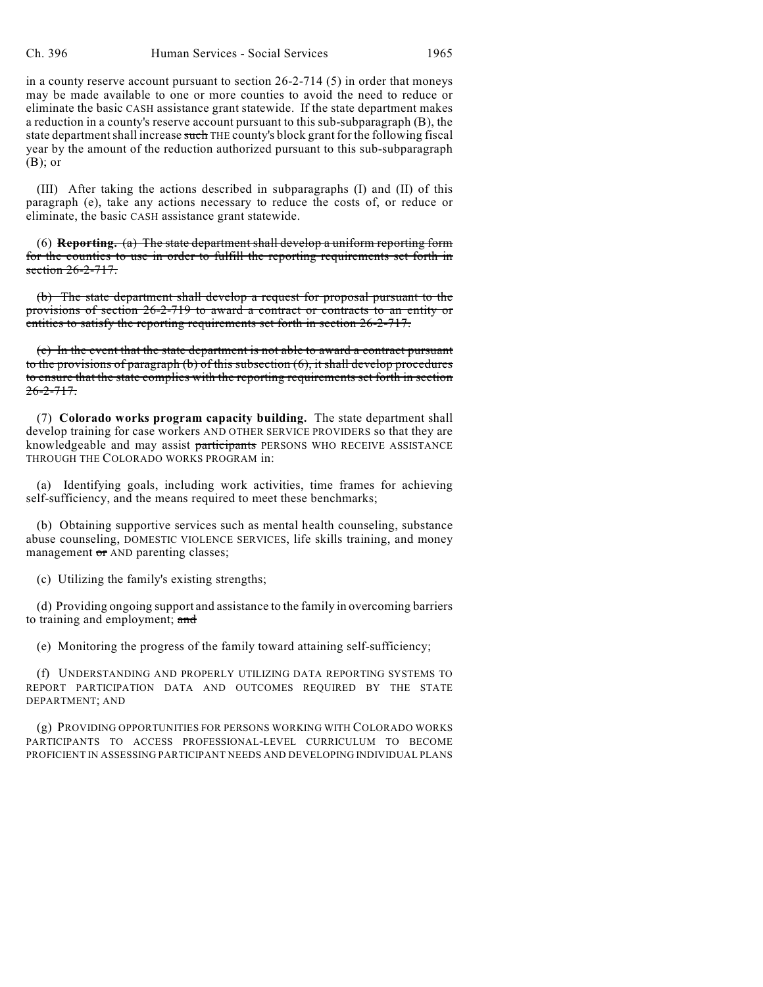in a county reserve account pursuant to section 26-2-714 (5) in order that moneys may be made available to one or more counties to avoid the need to reduce or eliminate the basic CASH assistance grant statewide. If the state department makes a reduction in a county's reserve account pursuant to this sub-subparagraph (B), the state department shall increase such THE county's block grant for the following fiscal year by the amount of the reduction authorized pursuant to this sub-subparagraph (B); or

(III) After taking the actions described in subparagraphs (I) and (II) of this paragraph (e), take any actions necessary to reduce the costs of, or reduce or eliminate, the basic CASH assistance grant statewide.

(6) **Reporting.** (a) The state department shall develop a uniform reporting form for the counties to use in order to fulfill the reporting requirements set forth in section  $26-2-717$ .

(b) The state department shall develop a request for proposal pursuant to the provisions of section 26-2-719 to award a contract or contracts to an entity or entities to satisfy the reporting requirements set forth in section 26-2-717.

(c) In the event that the state department is not able to award a contract pursuant to the provisions of paragraph (b) of this subsection (6), it shall develop procedures to ensure that the state complies with the reporting requirements set forth in section  $26 - 2 - 717$ .

(7) **Colorado works program capacity building.** The state department shall develop training for case workers AND OTHER SERVICE PROVIDERS so that they are knowledgeable and may assist participants PERSONS WHO RECEIVE ASSISTANCE THROUGH THE COLORADO WORKS PROGRAM in:

(a) Identifying goals, including work activities, time frames for achieving self-sufficiency, and the means required to meet these benchmarks;

(b) Obtaining supportive services such as mental health counseling, substance abuse counseling, DOMESTIC VIOLENCE SERVICES, life skills training, and money management or AND parenting classes;

(c) Utilizing the family's existing strengths;

(d) Providing ongoing support and assistance to the family in overcoming barriers to training and employment; and

(e) Monitoring the progress of the family toward attaining self-sufficiency;

(f) UNDERSTANDING AND PROPERLY UTILIZING DATA REPORTING SYSTEMS TO REPORT PARTICIPATION DATA AND OUTCOMES REQUIRED BY THE STATE DEPARTMENT; AND

(g) PROVIDING OPPORTUNITIES FOR PERSONS WORKING WITH COLORADO WORKS PARTICIPANTS TO ACCESS PROFESSIONAL-LEVEL CURRICULUM TO BECOME PROFICIENT IN ASSESSING PARTICIPANT NEEDS AND DEVELOPING INDIVIDUAL PLANS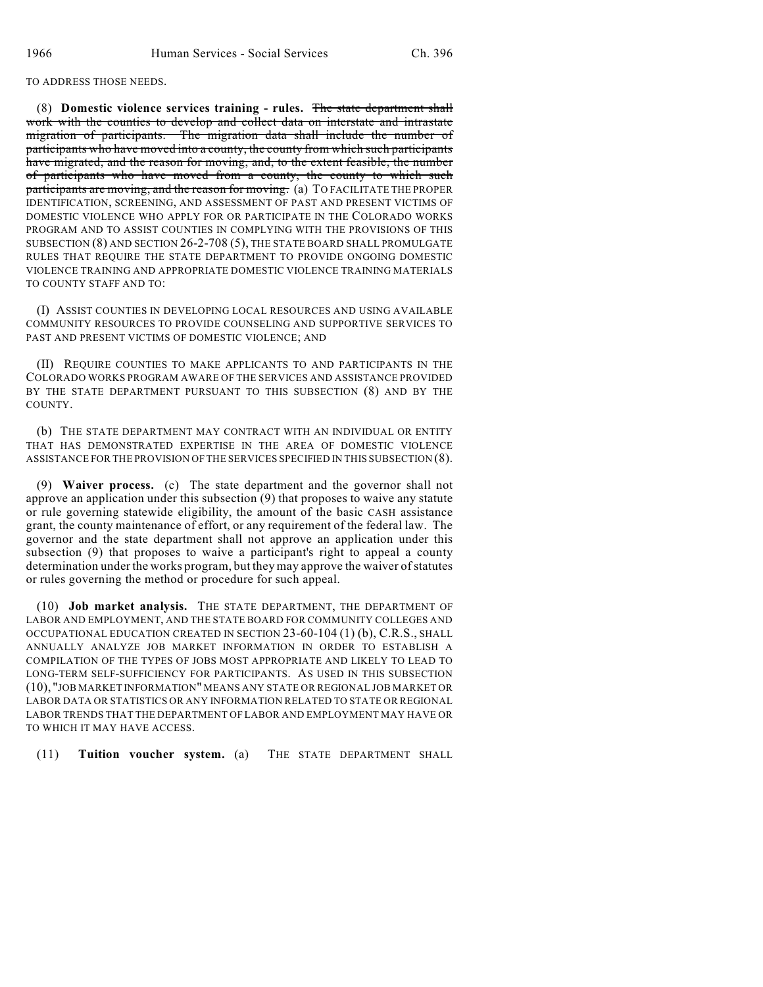TO ADDRESS THOSE NEEDS.

(8) **Domestic violence services training - rules.** The state department shall work with the counties to develop and collect data on interstate and intrastate migration of participants. The migration data shall include the number of participants who have moved into a county, the county from which such participants have migrated, and the reason for moving, and, to the extent feasible, the number of participants who have moved from a county, the county to which such participants are moving, and the reason for moving. (a) TO FACILITATE THE PROPER IDENTIFICATION, SCREENING, AND ASSESSMENT OF PAST AND PRESENT VICTIMS OF DOMESTIC VIOLENCE WHO APPLY FOR OR PARTICIPATE IN THE COLORADO WORKS PROGRAM AND TO ASSIST COUNTIES IN COMPLYING WITH THE PROVISIONS OF THIS SUBSECTION (8) AND SECTION 26-2-708 (5), THE STATE BOARD SHALL PROMULGATE RULES THAT REQUIRE THE STATE DEPARTMENT TO PROVIDE ONGOING DOMESTIC VIOLENCE TRAINING AND APPROPRIATE DOMESTIC VIOLENCE TRAINING MATERIALS TO COUNTY STAFF AND TO:

(I) ASSIST COUNTIES IN DEVELOPING LOCAL RESOURCES AND USING AVAILABLE COMMUNITY RESOURCES TO PROVIDE COUNSELING AND SUPPORTIVE SERVICES TO PAST AND PRESENT VICTIMS OF DOMESTIC VIOLENCE; AND

(II) REQUIRE COUNTIES TO MAKE APPLICANTS TO AND PARTICIPANTS IN THE COLORADO WORKS PROGRAM AWARE OF THE SERVICES AND ASSISTANCE PROVIDED BY THE STATE DEPARTMENT PURSUANT TO THIS SUBSECTION (8) AND BY THE COUNTY.

(b) THE STATE DEPARTMENT MAY CONTRACT WITH AN INDIVIDUAL OR ENTITY THAT HAS DEMONSTRATED EXPERTISE IN THE AREA OF DOMESTIC VIOLENCE ASSISTANCE FOR THE PROVISION OF THE SERVICES SPECIFIED IN THIS SUBSECTION (8).

(9) **Waiver process.** (c) The state department and the governor shall not approve an application under this subsection (9) that proposes to waive any statute or rule governing statewide eligibility, the amount of the basic CASH assistance grant, the county maintenance of effort, or any requirement of the federal law. The governor and the state department shall not approve an application under this subsection (9) that proposes to waive a participant's right to appeal a county determination under the works program, but they may approve the waiver of statutes or rules governing the method or procedure for such appeal.

(10) **Job market analysis.** THE STATE DEPARTMENT, THE DEPARTMENT OF LABOR AND EMPLOYMENT, AND THE STATE BOARD FOR COMMUNITY COLLEGES AND OCCUPATIONAL EDUCATION CREATED IN SECTION 23-60-104 (1) (b), C.R.S., SHALL ANNUALLY ANALYZE JOB MARKET INFORMATION IN ORDER TO ESTABLISH A COMPILATION OF THE TYPES OF JOBS MOST APPROPRIATE AND LIKELY TO LEAD TO LONG-TERM SELF-SUFFICIENCY FOR PARTICIPANTS. AS USED IN THIS SUBSECTION (10), "JOB MARKET INFORMATION" MEANS ANY STATE OR REGIONAL JOB MARKET OR LABOR DATA OR STATISTICS OR ANY INFORMATION RELATED TO STATE OR REGIONAL LABOR TRENDS THAT THE DEPARTMENT OF LABOR AND EMPLOYMENT MAY HAVE OR TO WHICH IT MAY HAVE ACCESS.

(11) **Tuition voucher system.** (a) THE STATE DEPARTMENT SHALL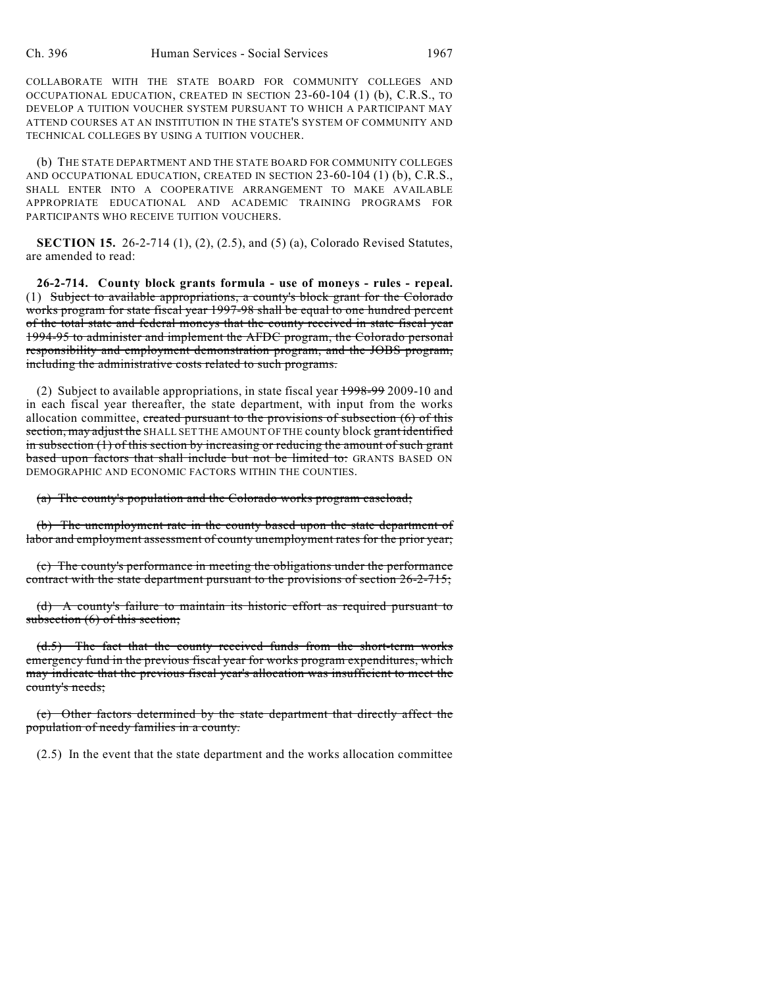COLLABORATE WITH THE STATE BOARD FOR COMMUNITY COLLEGES AND OCCUPATIONAL EDUCATION, CREATED IN SECTION 23-60-104 (1) (b), C.R.S., TO DEVELOP A TUITION VOUCHER SYSTEM PURSUANT TO WHICH A PARTICIPANT MAY ATTEND COURSES AT AN INSTITUTION IN THE STATE'S SYSTEM OF COMMUNITY AND TECHNICAL COLLEGES BY USING A TUITION VOUCHER.

(b) THE STATE DEPARTMENT AND THE STATE BOARD FOR COMMUNITY COLLEGES AND OCCUPATIONAL EDUCATION, CREATED IN SECTION 23-60-104 (1) (b), C.R.S., SHALL ENTER INTO A COOPERATIVE ARRANGEMENT TO MAKE AVAILABLE APPROPRIATE EDUCATIONAL AND ACADEMIC TRAINING PROGRAMS FOR PARTICIPANTS WHO RECEIVE TUITION VOUCHERS.

**SECTION 15.** 26-2-714 (1), (2), (2.5), and (5) (a), Colorado Revised Statutes, are amended to read:

**26-2-714. County block grants formula - use of moneys - rules - repeal.** (1) Subject to available appropriations, a county's block grant for the Colorado works program for state fiscal year 1997-98 shall be equal to one hundred percent of the total state and federal moneys that the county received in state fiscal year 1994-95 to administer and implement the AFDC program, the Colorado personal responsibility and employment demonstration program, and the JOBS program, including the administrative costs related to such programs.

(2) Subject to available appropriations, in state fiscal year 1998-99 2009-10 and in each fiscal year thereafter, the state department, with input from the works allocation committee, created pursuant to the provisions of subsection  $(6)$  of this section, may adjust the SHALL SET THE AMOUNT OF THE county block grant identified in subsection (1) of this section by increasing or reducing the amount of such grant based upon factors that shall include but not be limited to: GRANTS BASED ON DEMOGRAPHIC AND ECONOMIC FACTORS WITHIN THE COUNTIES.

(a) The county's population and the Colorado works program caseload;

(b) The unemployment rate in the county based upon the state department of labor and employment assessment of county unemployment rates for the prior year;

(c) The county's performance in meeting the obligations under the performance contract with the state department pursuant to the provisions of section 26-2-715;

(d) A county's failure to maintain its historic effort as required pursuant to subsection (6) of this section;

(d.5) The fact that the county received funds from the short-term works emergency fund in the previous fiscal year for works program expenditures, which may indicate that the previous fiscal year's allocation was insufficient to meet the county's needs;

(e) Other factors determined by the state department that directly affect the population of needy families in a county.

(2.5) In the event that the state department and the works allocation committee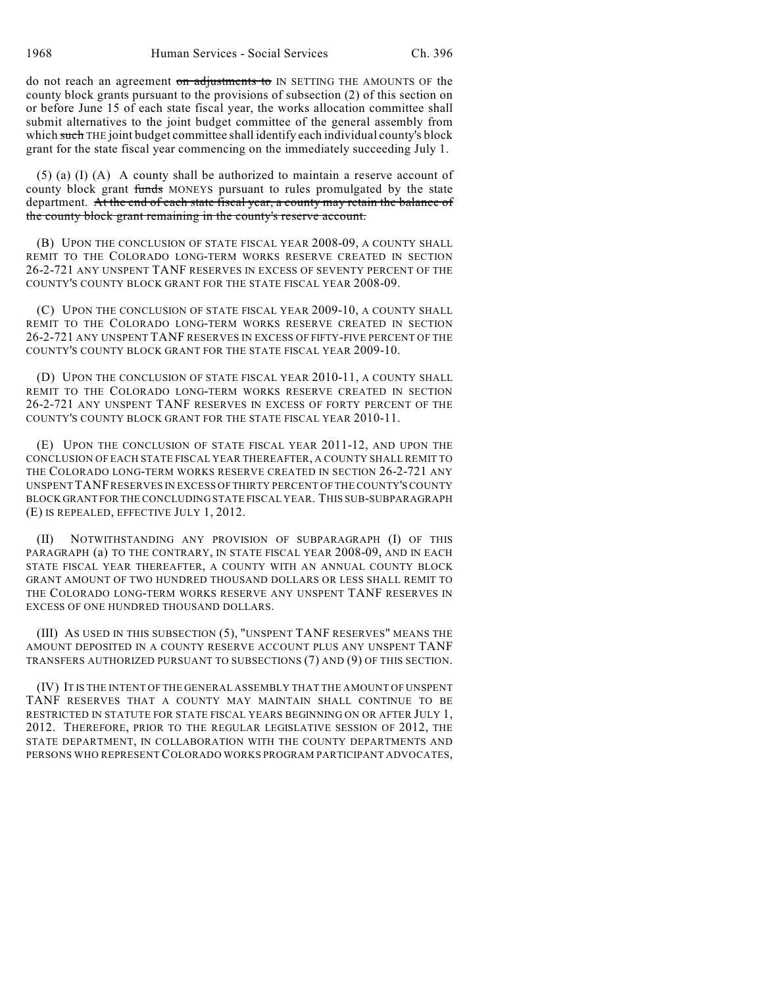do not reach an agreement on adjustments to IN SETTING THE AMOUNTS OF the county block grants pursuant to the provisions of subsection (2) of this section on or before June 15 of each state fiscal year, the works allocation committee shall submit alternatives to the joint budget committee of the general assembly from which such THE joint budget committee shall identify each individual county's block grant for the state fiscal year commencing on the immediately succeeding July 1.

(5) (a) (I) (A) A county shall be authorized to maintain a reserve account of county block grant funds MONEYS pursuant to rules promulgated by the state department. At the end of each state fiscal year, a county may retain the balance of the county block grant remaining in the county's reserve account.

(B) UPON THE CONCLUSION OF STATE FISCAL YEAR 2008-09, A COUNTY SHALL REMIT TO THE COLORADO LONG-TERM WORKS RESERVE CREATED IN SECTION 26-2-721 ANY UNSPENT TANF RESERVES IN EXCESS OF SEVENTY PERCENT OF THE COUNTY'S COUNTY BLOCK GRANT FOR THE STATE FISCAL YEAR 2008-09.

(C) UPON THE CONCLUSION OF STATE FISCAL YEAR 2009-10, A COUNTY SHALL REMIT TO THE COLORADO LONG-TERM WORKS RESERVE CREATED IN SECTION 26-2-721 ANY UNSPENT TANF RESERVES IN EXCESS OF FIFTY-FIVE PERCENT OF THE COUNTY'S COUNTY BLOCK GRANT FOR THE STATE FISCAL YEAR 2009-10.

(D) UPON THE CONCLUSION OF STATE FISCAL YEAR 2010-11, A COUNTY SHALL REMIT TO THE COLORADO LONG-TERM WORKS RESERVE CREATED IN SECTION 26-2-721 ANY UNSPENT TANF RESERVES IN EXCESS OF FORTY PERCENT OF THE COUNTY'S COUNTY BLOCK GRANT FOR THE STATE FISCAL YEAR 2010-11.

(E) UPON THE CONCLUSION OF STATE FISCAL YEAR 2011-12, AND UPON THE CONCLUSION OF EACH STATE FISCAL YEAR THEREAFTER, A COUNTY SHALL REMIT TO THE COLORADO LONG-TERM WORKS RESERVE CREATED IN SECTION 26-2-721 ANY UNSPENT TANF RESERVES IN EXCESS OF THIRTY PERCENT OF THE COUNTY'S COUNTY BLOCK GRANT FOR THE CONCLUDING STATE FISCAL YEAR. THIS SUB-SUBPARAGRAPH (E) IS REPEALED, EFFECTIVE JULY 1, 2012.

(II) NOTWITHSTANDING ANY PROVISION OF SUBPARAGRAPH (I) OF THIS PARAGRAPH (a) TO THE CONTRARY, IN STATE FISCAL YEAR 2008-09, AND IN EACH STATE FISCAL YEAR THEREAFTER, A COUNTY WITH AN ANNUAL COUNTY BLOCK GRANT AMOUNT OF TWO HUNDRED THOUSAND DOLLARS OR LESS SHALL REMIT TO THE COLORADO LONG-TERM WORKS RESERVE ANY UNSPENT TANF RESERVES IN EXCESS OF ONE HUNDRED THOUSAND DOLLARS.

(III) AS USED IN THIS SUBSECTION (5), "UNSPENT TANF RESERVES" MEANS THE AMOUNT DEPOSITED IN A COUNTY RESERVE ACCOUNT PLUS ANY UNSPENT TANF TRANSFERS AUTHORIZED PURSUANT TO SUBSECTIONS (7) AND (9) OF THIS SECTION.

(IV) IT IS THE INTENT OF THE GENERAL ASSEMBLY THAT THE AMOUNT OF UNSPENT TANF RESERVES THAT A COUNTY MAY MAINTAIN SHALL CONTINUE TO BE RESTRICTED IN STATUTE FOR STATE FISCAL YEARS BEGINNING ON OR AFTER JULY 1, 2012. THEREFORE, PRIOR TO THE REGULAR LEGISLATIVE SESSION OF 2012, THE STATE DEPARTMENT, IN COLLABORATION WITH THE COUNTY DEPARTMENTS AND PERSONS WHO REPRESENT COLORADO WORKS PROGRAM PARTICIPANT ADVOCATES,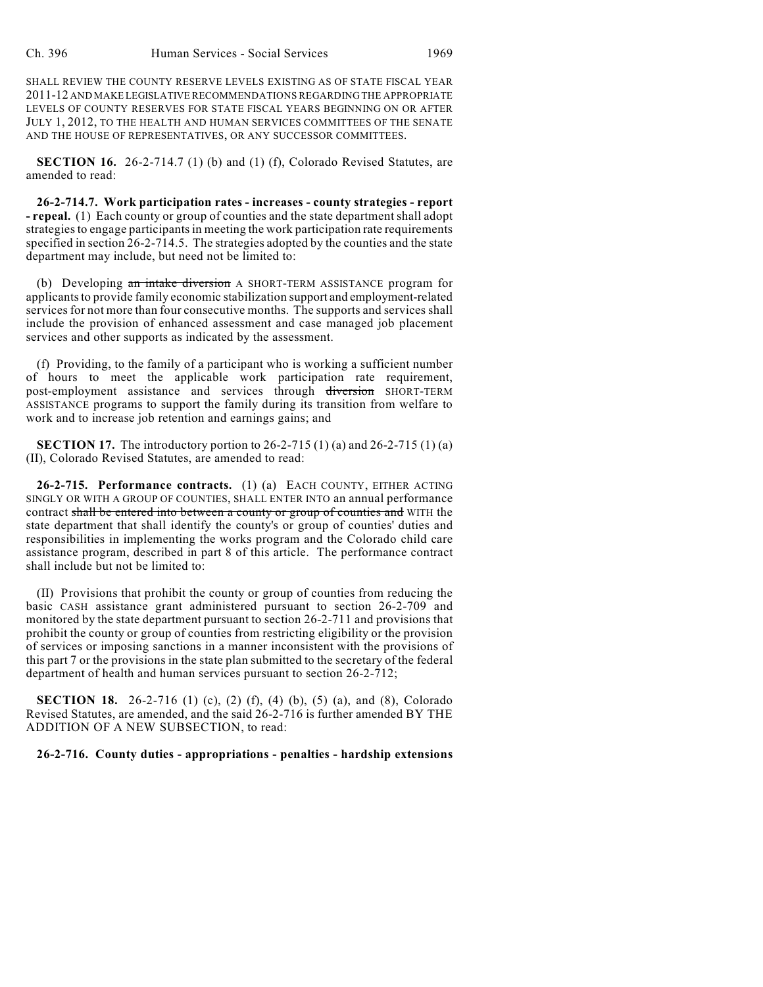SHALL REVIEW THE COUNTY RESERVE LEVELS EXISTING AS OF STATE FISCAL YEAR 2011-12 AND MAKE LEGISLATIVE RECOMMENDATIONS REGARDING THE APPROPRIATE LEVELS OF COUNTY RESERVES FOR STATE FISCAL YEARS BEGINNING ON OR AFTER JULY 1, 2012, TO THE HEALTH AND HUMAN SERVICES COMMITTEES OF THE SENATE AND THE HOUSE OF REPRESENTATIVES, OR ANY SUCCESSOR COMMITTEES.

**SECTION 16.** 26-2-714.7 (1) (b) and (1) (f), Colorado Revised Statutes, are amended to read:

**26-2-714.7. Work participation rates - increases - county strategies - report - repeal.** (1) Each county or group of counties and the state department shall adopt strategies to engage participants in meeting the work participation rate requirements specified in section 26-2-714.5. The strategies adopted by the counties and the state department may include, but need not be limited to:

(b) Developing an intake diversion A SHORT-TERM ASSISTANCE program for applicants to provide family economic stabilization support and employment-related services for not more than four consecutive months. The supports and services shall include the provision of enhanced assessment and case managed job placement services and other supports as indicated by the assessment.

(f) Providing, to the family of a participant who is working a sufficient number of hours to meet the applicable work participation rate requirement, post-employment assistance and services through diversion SHORT-TERM ASSISTANCE programs to support the family during its transition from welfare to work and to increase job retention and earnings gains; and

**SECTION 17.** The introductory portion to 26-2-715 (1) (a) and 26-2-715 (1) (a) (II), Colorado Revised Statutes, are amended to read:

**26-2-715. Performance contracts.** (1) (a) EACH COUNTY, EITHER ACTING SINGLY OR WITH A GROUP OF COUNTIES, SHALL ENTER INTO an annual performance contract shall be entered into between a county or group of counties and WITH the state department that shall identify the county's or group of counties' duties and responsibilities in implementing the works program and the Colorado child care assistance program, described in part 8 of this article. The performance contract shall include but not be limited to:

(II) Provisions that prohibit the county or group of counties from reducing the basic CASH assistance grant administered pursuant to section 26-2-709 and monitored by the state department pursuant to section 26-2-711 and provisions that prohibit the county or group of counties from restricting eligibility or the provision of services or imposing sanctions in a manner inconsistent with the provisions of this part 7 or the provisions in the state plan submitted to the secretary of the federal department of health and human services pursuant to section 26-2-712;

**SECTION 18.** 26-2-716 (1) (c), (2) (f), (4) (b), (5) (a), and (8), Colorado Revised Statutes, are amended, and the said 26-2-716 is further amended BY THE ADDITION OF A NEW SUBSECTION, to read:

## **26-2-716. County duties - appropriations - penalties - hardship extensions**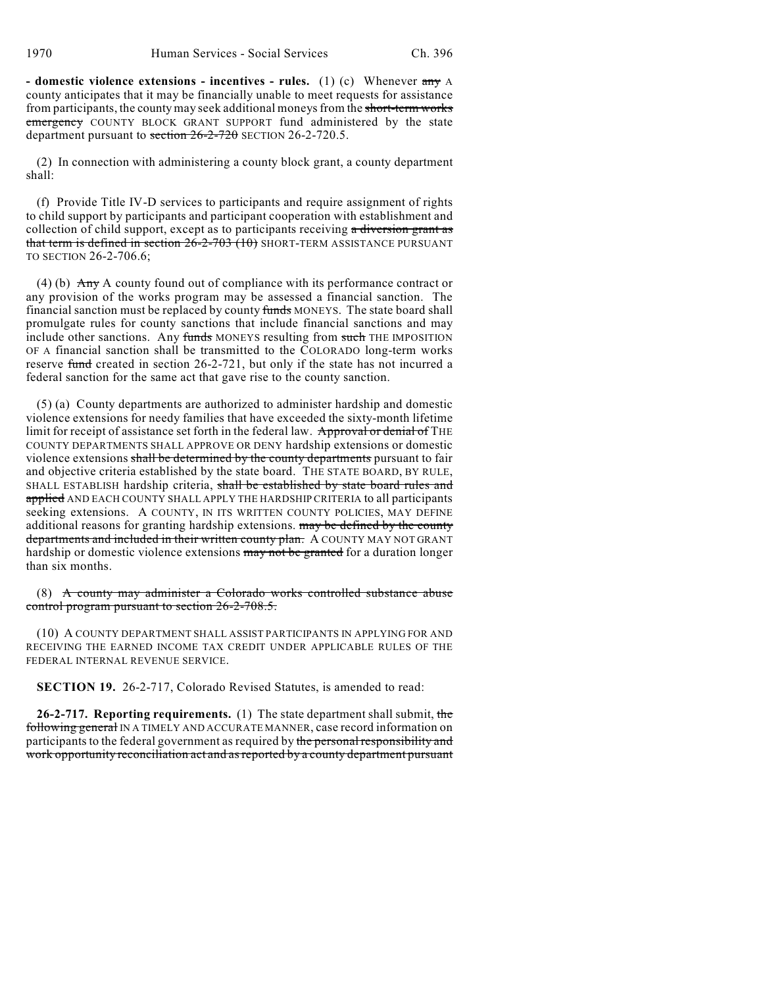**- domestic violence extensions - incentives - rules.** (1) (c) Whenever any A county anticipates that it may be financially unable to meet requests for assistance from participants, the county may seek additional moneys from the short-term works emergency COUNTY BLOCK GRANT SUPPORT fund administered by the state department pursuant to section  $26-2-720$  SECTION 26-2-720.5.

(2) In connection with administering a county block grant, a county department shall:

(f) Provide Title IV-D services to participants and require assignment of rights to child support by participants and participant cooperation with establishment and collection of child support, except as to participants receiving a diversion grant as that term is defined in section  $26-2-703(10)$  SHORT-TERM ASSISTANCE PURSUANT TO SECTION 26-2-706.6;

(4) (b)  $\overrightarrow{Any}$  A county found out of compliance with its performance contract or any provision of the works program may be assessed a financial sanction. The financial sanction must be replaced by county funds MONEYS. The state board shall promulgate rules for county sanctions that include financial sanctions and may include other sanctions. Any funds MONEYS resulting from such THE IMPOSITION OF A financial sanction shall be transmitted to the COLORADO long-term works reserve fund created in section 26-2-721, but only if the state has not incurred a federal sanction for the same act that gave rise to the county sanction.

(5) (a) County departments are authorized to administer hardship and domestic violence extensions for needy families that have exceeded the sixty-month lifetime limit for receipt of assistance set forth in the federal law. Approval or denial of THE COUNTY DEPARTMENTS SHALL APPROVE OR DENY hardship extensions or domestic violence extensions shall be determined by the county departments pursuant to fair and objective criteria established by the state board. THE STATE BOARD, BY RULE, SHALL ESTABLISH hardship criteria, shall be established by state board rules and applied AND EACH COUNTY SHALL APPLY THE HARDSHIP CRITERIA to all participants seeking extensions. A COUNTY, IN ITS WRITTEN COUNTY POLICIES, MAY DEFINE additional reasons for granting hardship extensions. may be defined by the county departments and included in their written county plan. A COUNTY MAY NOT GRANT hardship or domestic violence extensions may not be granted for a duration longer than six months.

(8) A county may administer a Colorado works controlled substance abuse control program pursuant to section 26-2-708.5.

(10) A COUNTY DEPARTMENT SHALL ASSIST PARTICIPANTS IN APPLYING FOR AND RECEIVING THE EARNED INCOME TAX CREDIT UNDER APPLICABLE RULES OF THE FEDERAL INTERNAL REVENUE SERVICE.

**SECTION 19.** 26-2-717, Colorado Revised Statutes, is amended to read:

**26-2-717. Reporting requirements.** (1) The state department shall submit, the following general IN A TIMELY AND ACCURATE MANNER, case record information on participants to the federal government as required by the personal responsibility and work opportunity reconciliation act and as reported by a county department pursuant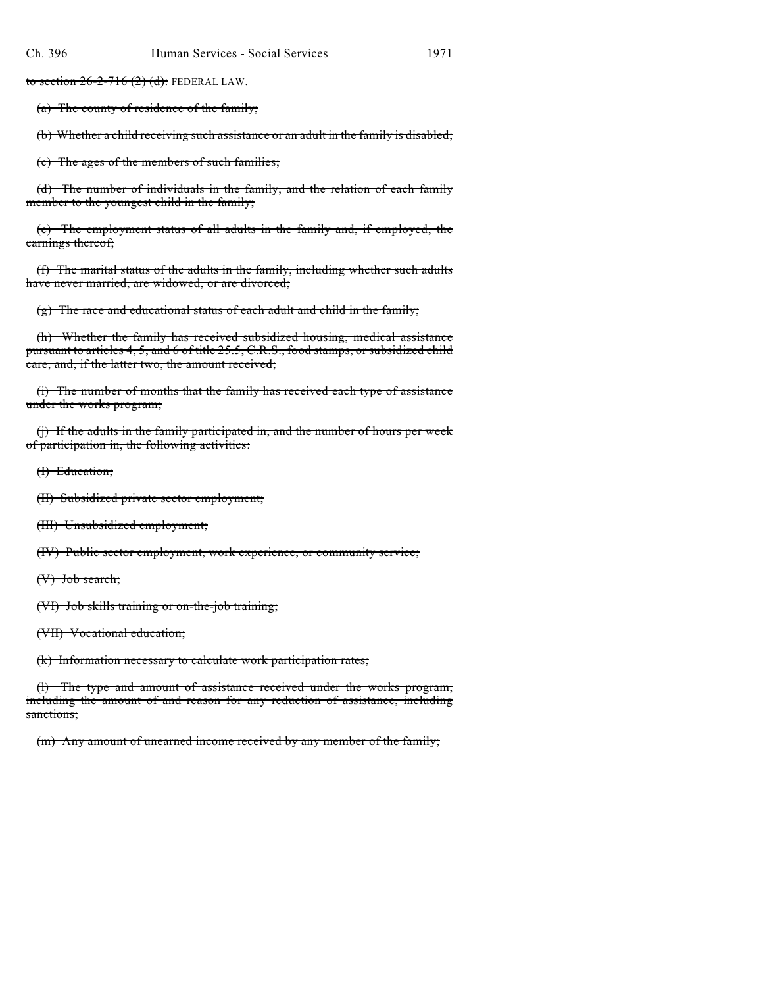to section  $26-2-716$  (2) (d): FEDERAL LAW.

(a) The county of residence of the family;

(b) Whether a child receiving such assistance or an adult in the family is disabled;

(c) The ages of the members of such families;

(d) The number of individuals in the family, and the relation of each family member to the youngest child in the family;

(e) The employment status of all adults in the family and, if employed, the earnings thereof;

(f) The marital status of the adults in the family, including whether such adults have never married, are widowed, or are divorced;

(g) The race and educational status of each adult and child in the family;

(h) Whether the family has received subsidized housing, medical assistance pursuant to articles 4, 5, and 6 of title 25.5, C.R.S., food stamps, or subsidized child care, and, if the latter two, the amount received;

(i) The number of months that the family has received each type of assistance under the works program;

(j) If the adults in the family participated in, and the number of hours per week of participation in, the following activities:

(I) Education;

(II) Subsidized private sector employment;

(III) Unsubsidized employment;

(IV) Public sector employment, work experience, or community service;

(V) Job search;

(VI) Job skills training or on-the-job training;

(VII) Vocational education;

(k) Information necessary to calculate work participation rates;

(l) The type and amount of assistance received under the works program, including the amount of and reason for any reduction of assistance, including sanctions;

(m) Any amount of unearned income received by any member of the family;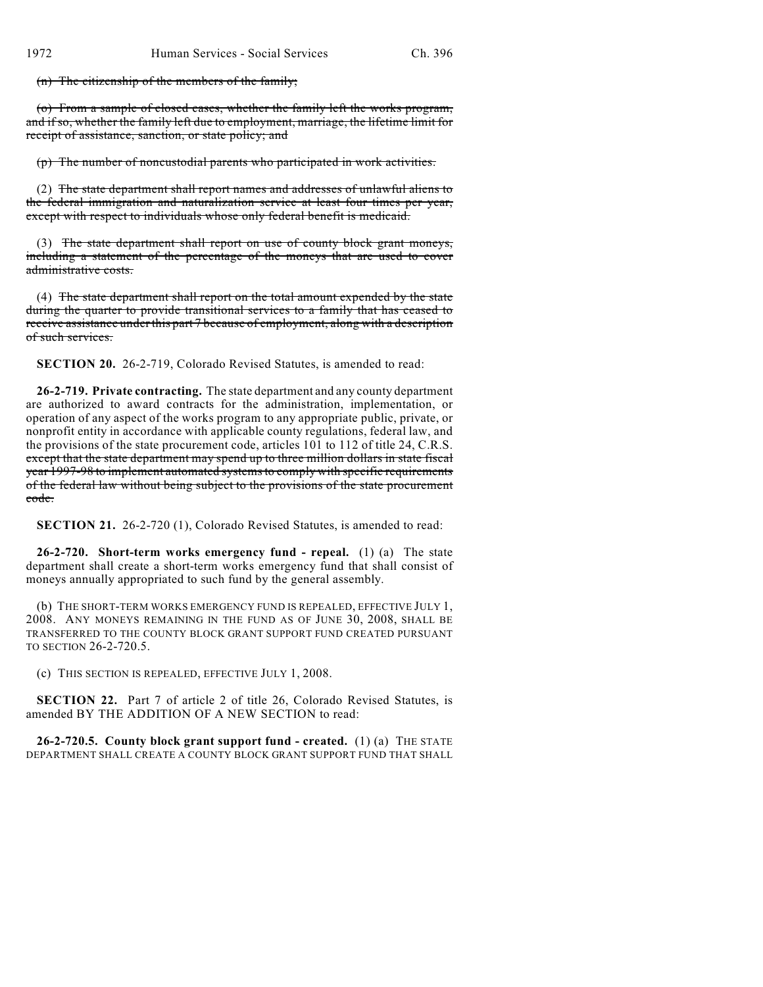(n) The citizenship of the members of the family;

(o) From a sample of closed cases, whether the family left the works program, and if so, whether the family left due to employment, marriage, the lifetime limit for receipt of assistance, sanction, or state policy; and

(p) The number of noncustodial parents who participated in work activities.

(2) The state department shall report names and addresses of unlawful aliens to the federal immigration and naturalization service at least four times per year, except with respect to individuals whose only federal benefit is medicaid.

(3) The state department shall report on use of county block grant moneys, including a statement of the percentage of the moneys that are used to cover administrative costs.

(4) The state department shall report on the total amount expended by the state during the quarter to provide transitional services to a family that has ceased to receive assistance under this part 7 because of employment, along with a description of such services.

**SECTION 20.** 26-2-719, Colorado Revised Statutes, is amended to read:

**26-2-719. Private contracting.** The state department and any county department are authorized to award contracts for the administration, implementation, or operation of any aspect of the works program to any appropriate public, private, or nonprofit entity in accordance with applicable county regulations, federal law, and the provisions of the state procurement code, articles 101 to 112 of title 24, C.R.S. except that the state department may spend up to three million dollars in state fiscal year 1997-98 to implement automated systems to comply with specific requirements of the federal law without being subject to the provisions of the state procurement code.

**SECTION 21.** 26-2-720 (1), Colorado Revised Statutes, is amended to read:

**26-2-720. Short-term works emergency fund - repeal.** (1) (a) The state department shall create a short-term works emergency fund that shall consist of moneys annually appropriated to such fund by the general assembly.

(b) THE SHORT-TERM WORKS EMERGENCY FUND IS REPEALED, EFFECTIVE JULY 1, 2008. ANY MONEYS REMAINING IN THE FUND AS OF JUNE 30, 2008, SHALL BE TRANSFERRED TO THE COUNTY BLOCK GRANT SUPPORT FUND CREATED PURSUANT TO SECTION 26-2-720.5.

(c) THIS SECTION IS REPEALED, EFFECTIVE JULY 1, 2008.

**SECTION 22.** Part 7 of article 2 of title 26, Colorado Revised Statutes, is amended BY THE ADDITION OF A NEW SECTION to read:

**26-2-720.5. County block grant support fund - created.** (1) (a) THE STATE DEPARTMENT SHALL CREATE A COUNTY BLOCK GRANT SUPPORT FUND THAT SHALL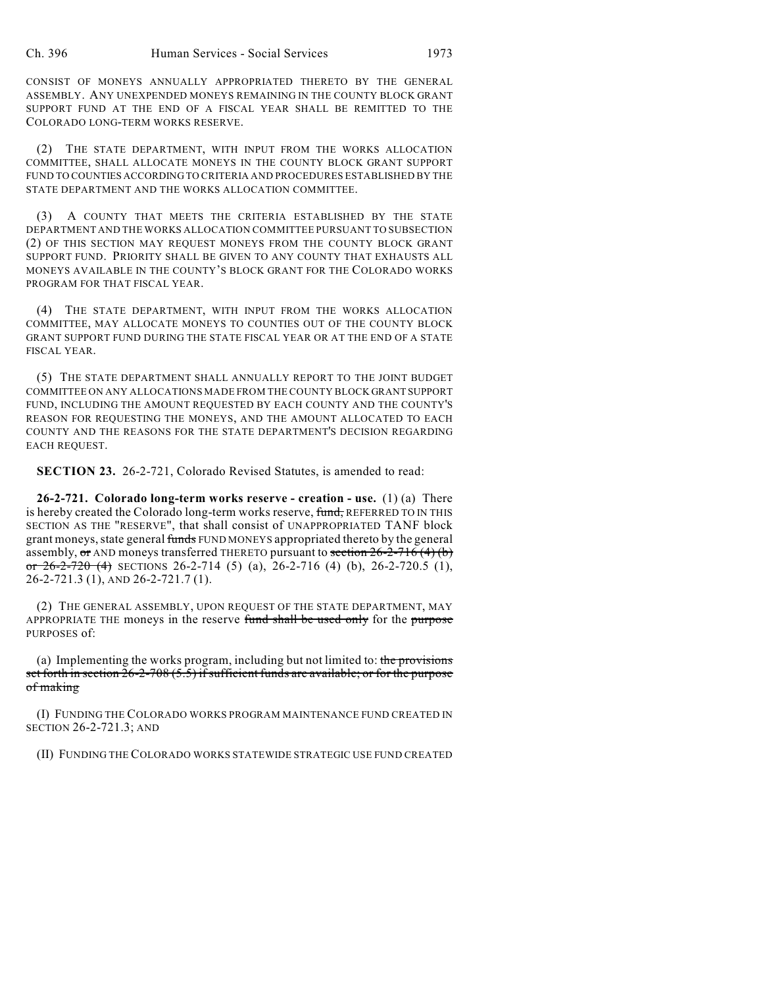CONSIST OF MONEYS ANNUALLY APPROPRIATED THERETO BY THE GENERAL ASSEMBLY. ANY UNEXPENDED MONEYS REMAINING IN THE COUNTY BLOCK GRANT SUPPORT FUND AT THE END OF A FISCAL YEAR SHALL BE REMITTED TO THE COLORADO LONG-TERM WORKS RESERVE.

(2) THE STATE DEPARTMENT, WITH INPUT FROM THE WORKS ALLOCATION COMMITTEE, SHALL ALLOCATE MONEYS IN THE COUNTY BLOCK GRANT SUPPORT FUND TO COUNTIES ACCORDING TO CRITERIA AND PROCEDURES ESTABLISHED BY THE STATE DEPARTMENT AND THE WORKS ALLOCATION COMMITTEE.

(3) A COUNTY THAT MEETS THE CRITERIA ESTABLISHED BY THE STATE DEPARTMENT AND THE WORKS ALLOCATION COMMITTEE PURSUANT TO SUBSECTION (2) OF THIS SECTION MAY REQUEST MONEYS FROM THE COUNTY BLOCK GRANT SUPPORT FUND. PRIORITY SHALL BE GIVEN TO ANY COUNTY THAT EXHAUSTS ALL MONEYS AVAILABLE IN THE COUNTY'S BLOCK GRANT FOR THE COLORADO WORKS PROGRAM FOR THAT FISCAL YEAR.

(4) THE STATE DEPARTMENT, WITH INPUT FROM THE WORKS ALLOCATION COMMITTEE, MAY ALLOCATE MONEYS TO COUNTIES OUT OF THE COUNTY BLOCK GRANT SUPPORT FUND DURING THE STATE FISCAL YEAR OR AT THE END OF A STATE FISCAL YEAR.

(5) THE STATE DEPARTMENT SHALL ANNUALLY REPORT TO THE JOINT BUDGET COMMITTEE ON ANY ALLOCATIONS MADE FROM THE COUNTY BLOCK GRANT SUPPORT FUND, INCLUDING THE AMOUNT REQUESTED BY EACH COUNTY AND THE COUNTY'S REASON FOR REQUESTING THE MONEYS, AND THE AMOUNT ALLOCATED TO EACH COUNTY AND THE REASONS FOR THE STATE DEPARTMENT'S DECISION REGARDING EACH REQUEST.

**SECTION 23.** 26-2-721, Colorado Revised Statutes, is amended to read:

**26-2-721. Colorado long-term works reserve - creation - use.** (1) (a) There is hereby created the Colorado long-term works reserve, fund, REFERRED TO IN THIS SECTION AS THE "RESERVE", that shall consist of UNAPPROPRIATED TANF block grant moneys, state general funds FUND MONEYS appropriated thereto by the general assembly, or AND moneys transferred THERETO pursuant to section  $26-2-716$  (4) (b) or  $26-2-720$  (4) SECTIONS 26-2-714 (5) (a), 26-2-716 (4) (b), 26-2-720.5 (1), 26-2-721.3 (1), AND 26-2-721.7 (1).

(2) THE GENERAL ASSEMBLY, UPON REQUEST OF THE STATE DEPARTMENT, MAY APPROPRIATE THE moneys in the reserve fund shall be used only for the purpose PURPOSES of:

(a) Implementing the works program, including but not limited to: the provisions set forth in section  $26$ - $2$ - $708$   $(5.5)$  if sufficient funds are available; or for the purpose of making

(I) FUNDING THE COLORADO WORKS PROGRAM MAINTENANCE FUND CREATED IN SECTION 26-2-721.3; AND

(II) FUNDING THE COLORADO WORKS STATEWIDE STRATEGIC USE FUND CREATED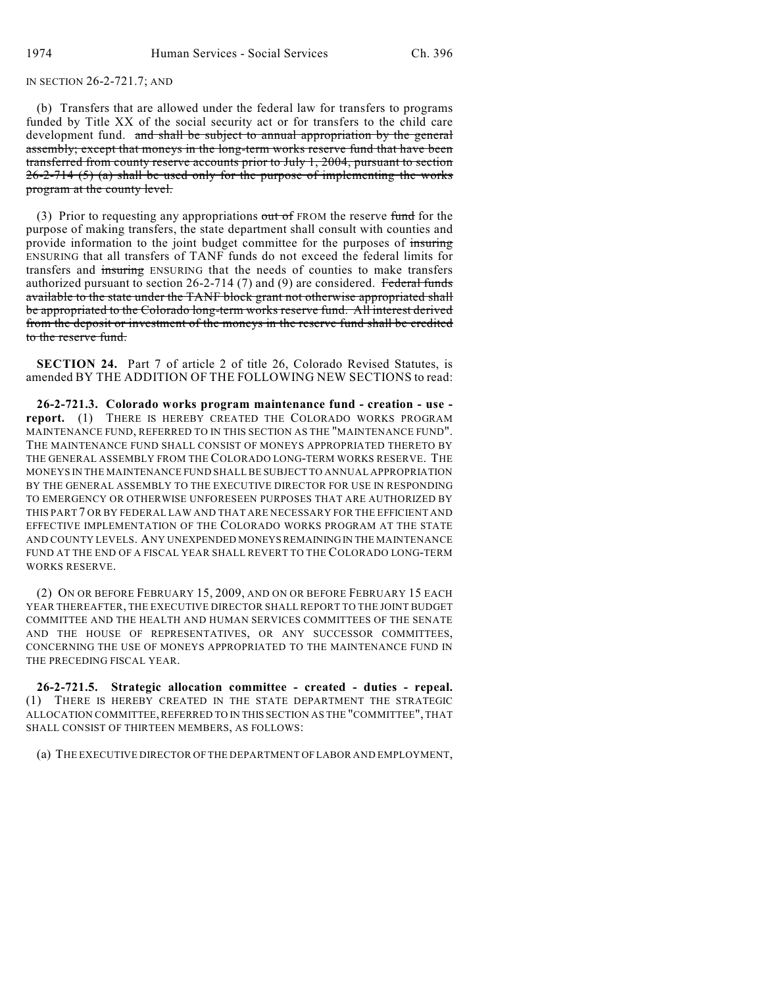IN SECTION 26-2-721.7; AND

(b) Transfers that are allowed under the federal law for transfers to programs funded by Title XX of the social security act or for transfers to the child care development fund. and shall be subject to annual appropriation by the general assembly; except that moneys in the long-term works reserve fund that have been transferred from county reserve accounts prior to July 1, 2004, pursuant to section  $26-2-714$  (5) (a) shall be used only for the purpose of implementing the works program at the county level.

(3) Prior to requesting any appropriations out of FROM the reserve fund for the purpose of making transfers, the state department shall consult with counties and provide information to the joint budget committee for the purposes of insuring ENSURING that all transfers of TANF funds do not exceed the federal limits for transfers and insuring ENSURING that the needs of counties to make transfers authorized pursuant to section 26-2-714 (7) and (9) are considered. Federal funds available to the state under the TANF block grant not otherwise appropriated shall be appropriated to the Colorado long-term works reserve fund. All interest derived from the deposit or investment of the moneys in the reserve fund shall be credited to the reserve fund.

**SECTION 24.** Part 7 of article 2 of title 26, Colorado Revised Statutes, is amended BY THE ADDITION OF THE FOLLOWING NEW SECTIONS to read:

**26-2-721.3. Colorado works program maintenance fund - creation - use report.** (1) THERE IS HEREBY CREATED THE COLORADO WORKS PROGRAM MAINTENANCE FUND, REFERRED TO IN THIS SECTION AS THE "MAINTENANCE FUND". THE MAINTENANCE FUND SHALL CONSIST OF MONEYS APPROPRIATED THERETO BY THE GENERAL ASSEMBLY FROM THE COLORADO LONG-TERM WORKS RESERVE. THE MONEYS IN THE MAINTENANCE FUND SHALL BE SUBJECT TO ANNUAL APPROPRIATION BY THE GENERAL ASSEMBLY TO THE EXECUTIVE DIRECTOR FOR USE IN RESPONDING TO EMERGENCY OR OTHERWISE UNFORESEEN PURPOSES THAT ARE AUTHORIZED BY THIS PART 7 OR BY FEDERAL LAW AND THAT ARE NECESSARY FOR THE EFFICIENT AND EFFECTIVE IMPLEMENTATION OF THE COLORADO WORKS PROGRAM AT THE STATE AND COUNTY LEVELS. ANY UNEXPENDED MONEYS REMAINING IN THE MAINTENANCE FUND AT THE END OF A FISCAL YEAR SHALL REVERT TO THE COLORADO LONG-TERM WORKS RESERVE.

(2) ON OR BEFORE FEBRUARY 15, 2009, AND ON OR BEFORE FEBRUARY 15 EACH YEAR THEREAFTER, THE EXECUTIVE DIRECTOR SHALL REPORT TO THE JOINT BUDGET COMMITTEE AND THE HEALTH AND HUMAN SERVICES COMMITTEES OF THE SENATE AND THE HOUSE OF REPRESENTATIVES, OR ANY SUCCESSOR COMMITTEES, CONCERNING THE USE OF MONEYS APPROPRIATED TO THE MAINTENANCE FUND IN THE PRECEDING FISCAL YEAR.

**26-2-721.5. Strategic allocation committee - created - duties - repeal.** (1) THERE IS HEREBY CREATED IN THE STATE DEPARTMENT THE STRATEGIC ALLOCATION COMMITTEE, REFERRED TO IN THIS SECTION AS THE "COMMITTEE", THAT SHALL CONSIST OF THIRTEEN MEMBERS, AS FOLLOWS:

(a) THE EXECUTIVE DIRECTOR OF THE DEPARTMENT OF LABOR AND EMPLOYMENT,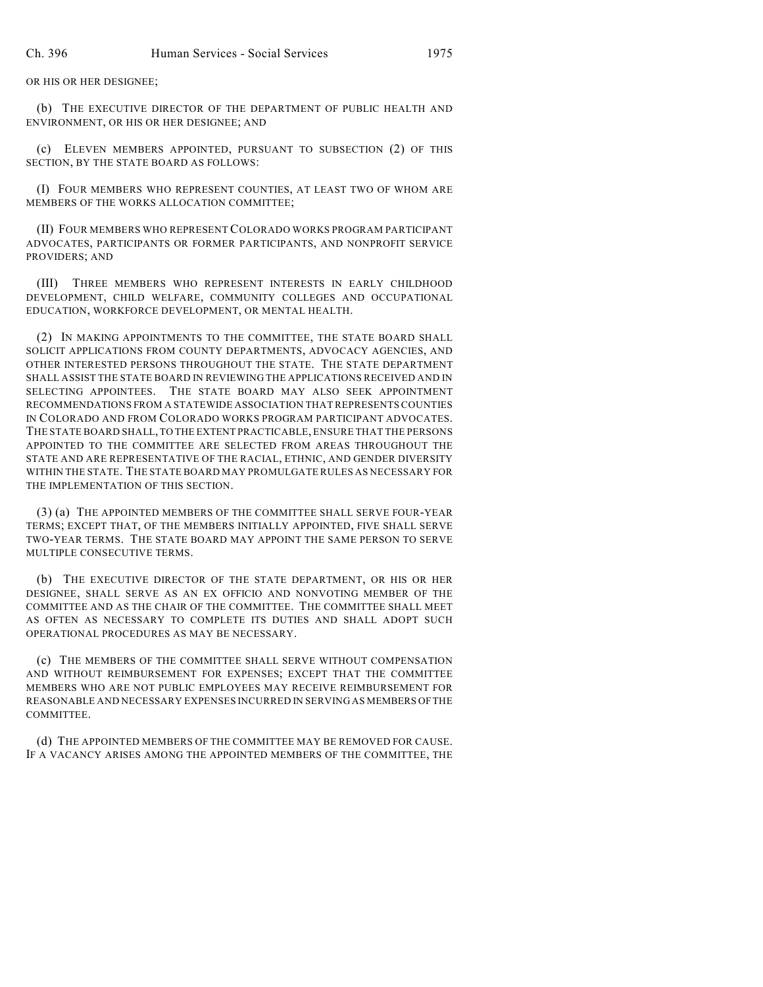OR HIS OR HER DESIGNEE;

(b) THE EXECUTIVE DIRECTOR OF THE DEPARTMENT OF PUBLIC HEALTH AND ENVIRONMENT, OR HIS OR HER DESIGNEE; AND

(c) ELEVEN MEMBERS APPOINTED, PURSUANT TO SUBSECTION (2) OF THIS SECTION, BY THE STATE BOARD AS FOLLOWS:

(I) FOUR MEMBERS WHO REPRESENT COUNTIES, AT LEAST TWO OF WHOM ARE MEMBERS OF THE WORKS ALLOCATION COMMITTEE;

(II) FOUR MEMBERS WHO REPRESENT COLORADO WORKS PROGRAM PARTICIPANT ADVOCATES, PARTICIPANTS OR FORMER PARTICIPANTS, AND NONPROFIT SERVICE PROVIDERS; AND

(III) THREE MEMBERS WHO REPRESENT INTERESTS IN EARLY CHILDHOOD DEVELOPMENT, CHILD WELFARE, COMMUNITY COLLEGES AND OCCUPATIONAL EDUCATION, WORKFORCE DEVELOPMENT, OR MENTAL HEALTH.

(2) IN MAKING APPOINTMENTS TO THE COMMITTEE, THE STATE BOARD SHALL SOLICIT APPLICATIONS FROM COUNTY DEPARTMENTS, ADVOCACY AGENCIES, AND OTHER INTERESTED PERSONS THROUGHOUT THE STATE. THE STATE DEPARTMENT SHALL ASSIST THE STATE BOARD IN REVIEWING THE APPLICATIONS RECEIVED AND IN SELECTING APPOINTEES. THE STATE BOARD MAY ALSO SEEK APPOINTMENT RECOMMENDATIONS FROM A STATEWIDE ASSOCIATION THAT REPRESENTS COUNTIES IN COLORADO AND FROM COLORADO WORKS PROGRAM PARTICIPANT ADVOCATES. THE STATE BOARD SHALL, TO THE EXTENT PRACTICABLE, ENSURE THAT THE PERSONS APPOINTED TO THE COMMITTEE ARE SELECTED FROM AREAS THROUGHOUT THE STATE AND ARE REPRESENTATIVE OF THE RACIAL, ETHNIC, AND GENDER DIVERSITY WITHIN THE STATE. THE STATE BOARD MAY PROMULGATE RULES AS NECESSARY FOR THE IMPLEMENTATION OF THIS SECTION.

(3) (a) THE APPOINTED MEMBERS OF THE COMMITTEE SHALL SERVE FOUR-YEAR TERMS; EXCEPT THAT, OF THE MEMBERS INITIALLY APPOINTED, FIVE SHALL SERVE TWO-YEAR TERMS. THE STATE BOARD MAY APPOINT THE SAME PERSON TO SERVE MULTIPLE CONSECUTIVE TERMS.

(b) THE EXECUTIVE DIRECTOR OF THE STATE DEPARTMENT, OR HIS OR HER DESIGNEE, SHALL SERVE AS AN EX OFFICIO AND NONVOTING MEMBER OF THE COMMITTEE AND AS THE CHAIR OF THE COMMITTEE. THE COMMITTEE SHALL MEET AS OFTEN AS NECESSARY TO COMPLETE ITS DUTIES AND SHALL ADOPT SUCH OPERATIONAL PROCEDURES AS MAY BE NECESSARY.

(c) THE MEMBERS OF THE COMMITTEE SHALL SERVE WITHOUT COMPENSATION AND WITHOUT REIMBURSEMENT FOR EXPENSES; EXCEPT THAT THE COMMITTEE MEMBERS WHO ARE NOT PUBLIC EMPLOYEES MAY RECEIVE REIMBURSEMENT FOR REASONABLE AND NECESSARY EXPENSES INCURRED IN SERVING AS MEMBERS OF THE COMMITTEE.

(d) THE APPOINTED MEMBERS OF THE COMMITTEE MAY BE REMOVED FOR CAUSE. IF A VACANCY ARISES AMONG THE APPOINTED MEMBERS OF THE COMMITTEE, THE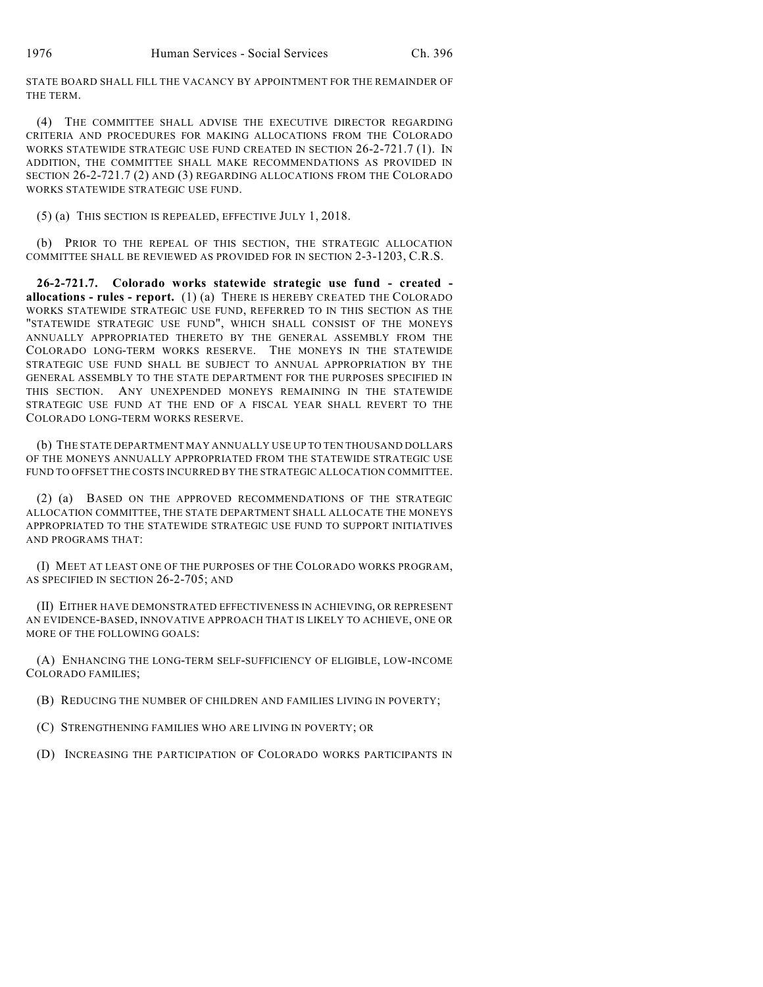STATE BOARD SHALL FILL THE VACANCY BY APPOINTMENT FOR THE REMAINDER OF THE TERM.

(4) THE COMMITTEE SHALL ADVISE THE EXECUTIVE DIRECTOR REGARDING CRITERIA AND PROCEDURES FOR MAKING ALLOCATIONS FROM THE COLORADO WORKS STATEWIDE STRATEGIC USE FUND CREATED IN SECTION 26-2-721.7 (1). IN ADDITION, THE COMMITTEE SHALL MAKE RECOMMENDATIONS AS PROVIDED IN SECTION 26-2-721.7 (2) AND (3) REGARDING ALLOCATIONS FROM THE COLORADO WORKS STATEWIDE STRATEGIC USE FUND.

(5) (a) THIS SECTION IS REPEALED, EFFECTIVE JULY 1, 2018.

(b) PRIOR TO THE REPEAL OF THIS SECTION, THE STRATEGIC ALLOCATION COMMITTEE SHALL BE REVIEWED AS PROVIDED FOR IN SECTION 2-3-1203, C.R.S.

**26-2-721.7. Colorado works statewide strategic use fund - created allocations - rules - report.** (1) (a) THERE IS HEREBY CREATED THE COLORADO WORKS STATEWIDE STRATEGIC USE FUND, REFERRED TO IN THIS SECTION AS THE "STATEWIDE STRATEGIC USE FUND", WHICH SHALL CONSIST OF THE MONEYS ANNUALLY APPROPRIATED THERETO BY THE GENERAL ASSEMBLY FROM THE COLORADO LONG-TERM WORKS RESERVE. THE MONEYS IN THE STATEWIDE STRATEGIC USE FUND SHALL BE SUBJECT TO ANNUAL APPROPRIATION BY THE GENERAL ASSEMBLY TO THE STATE DEPARTMENT FOR THE PURPOSES SPECIFIED IN THIS SECTION. ANY UNEXPENDED MONEYS REMAINING IN THE STATEWIDE STRATEGIC USE FUND AT THE END OF A FISCAL YEAR SHALL REVERT TO THE COLORADO LONG-TERM WORKS RESERVE.

(b) THE STATE DEPARTMENT MAY ANNUALLY USE UP TO TEN THOUSAND DOLLARS OF THE MONEYS ANNUALLY APPROPRIATED FROM THE STATEWIDE STRATEGIC USE FUND TO OFFSET THE COSTS INCURRED BY THE STRATEGIC ALLOCATION COMMITTEE.

(2) (a) BASED ON THE APPROVED RECOMMENDATIONS OF THE STRATEGIC ALLOCATION COMMITTEE, THE STATE DEPARTMENT SHALL ALLOCATE THE MONEYS APPROPRIATED TO THE STATEWIDE STRATEGIC USE FUND TO SUPPORT INITIATIVES AND PROGRAMS THAT:

(I) MEET AT LEAST ONE OF THE PURPOSES OF THE COLORADO WORKS PROGRAM, AS SPECIFIED IN SECTION 26-2-705; AND

(II) EITHER HAVE DEMONSTRATED EFFECTIVENESS IN ACHIEVING, OR REPRESENT AN EVIDENCE-BASED, INNOVATIVE APPROACH THAT IS LIKELY TO ACHIEVE, ONE OR MORE OF THE FOLLOWING GOALS:

(A) ENHANCING THE LONG-TERM SELF-SUFFICIENCY OF ELIGIBLE, LOW-INCOME COLORADO FAMILIES;

(B) REDUCING THE NUMBER OF CHILDREN AND FAMILIES LIVING IN POVERTY;

(C) STRENGTHENING FAMILIES WHO ARE LIVING IN POVERTY; OR

(D) INCREASING THE PARTICIPATION OF COLORADO WORKS PARTICIPANTS IN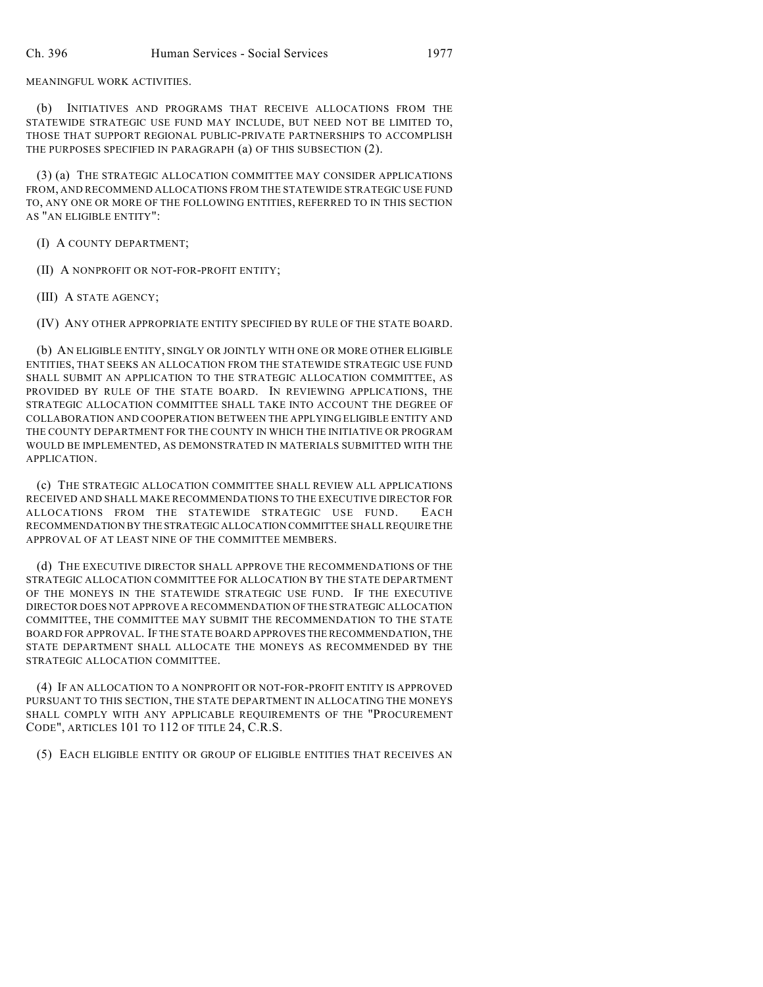MEANINGFUL WORK ACTIVITIES.

(b) INITIATIVES AND PROGRAMS THAT RECEIVE ALLOCATIONS FROM THE STATEWIDE STRATEGIC USE FUND MAY INCLUDE, BUT NEED NOT BE LIMITED TO, THOSE THAT SUPPORT REGIONAL PUBLIC-PRIVATE PARTNERSHIPS TO ACCOMPLISH THE PURPOSES SPECIFIED IN PARAGRAPH (a) OF THIS SUBSECTION (2).

(3) (a) THE STRATEGIC ALLOCATION COMMITTEE MAY CONSIDER APPLICATIONS FROM, AND RECOMMEND ALLOCATIONS FROM THE STATEWIDE STRATEGIC USE FUND TO, ANY ONE OR MORE OF THE FOLLOWING ENTITIES, REFERRED TO IN THIS SECTION AS "AN ELIGIBLE ENTITY":

(I) A COUNTY DEPARTMENT;

(II) A NONPROFIT OR NOT-FOR-PROFIT ENTITY;

(III) A STATE AGENCY;

(IV) ANY OTHER APPROPRIATE ENTITY SPECIFIED BY RULE OF THE STATE BOARD.

(b) AN ELIGIBLE ENTITY, SINGLY OR JOINTLY WITH ONE OR MORE OTHER ELIGIBLE ENTITIES, THAT SEEKS AN ALLOCATION FROM THE STATEWIDE STRATEGIC USE FUND SHALL SUBMIT AN APPLICATION TO THE STRATEGIC ALLOCATION COMMITTEE, AS PROVIDED BY RULE OF THE STATE BOARD. IN REVIEWING APPLICATIONS, THE STRATEGIC ALLOCATION COMMITTEE SHALL TAKE INTO ACCOUNT THE DEGREE OF COLLABORATION AND COOPERATION BETWEEN THE APPLYING ELIGIBLE ENTITY AND THE COUNTY DEPARTMENT FOR THE COUNTY IN WHICH THE INITIATIVE OR PROGRAM WOULD BE IMPLEMENTED, AS DEMONSTRATED IN MATERIALS SUBMITTED WITH THE APPLICATION.

(c) THE STRATEGIC ALLOCATION COMMITTEE SHALL REVIEW ALL APPLICATIONS RECEIVED AND SHALL MAKE RECOMMENDATIONS TO THE EXECUTIVE DIRECTOR FOR ALLOCATIONS FROM THE STATEWIDE STRATEGIC USE FUND. EACH RECOMMENDATION BY THE STRATEGIC ALLOCATION COMMITTEE SHALL REQUIRE THE APPROVAL OF AT LEAST NINE OF THE COMMITTEE MEMBERS.

(d) THE EXECUTIVE DIRECTOR SHALL APPROVE THE RECOMMENDATIONS OF THE STRATEGIC ALLOCATION COMMITTEE FOR ALLOCATION BY THE STATE DEPARTMENT OF THE MONEYS IN THE STATEWIDE STRATEGIC USE FUND. IF THE EXECUTIVE DIRECTOR DOES NOT APPROVE A RECOMMENDATION OF THE STRATEGIC ALLOCATION COMMITTEE, THE COMMITTEE MAY SUBMIT THE RECOMMENDATION TO THE STATE BOARD FOR APPROVAL. IF THE STATE BOARD APPROVES THE RECOMMENDATION, THE STATE DEPARTMENT SHALL ALLOCATE THE MONEYS AS RECOMMENDED BY THE STRATEGIC ALLOCATION COMMITTEE.

(4) IF AN ALLOCATION TO A NONPROFIT OR NOT-FOR-PROFIT ENTITY IS APPROVED PURSUANT TO THIS SECTION, THE STATE DEPARTMENT IN ALLOCATING THE MONEYS SHALL COMPLY WITH ANY APPLICABLE REQUIREMENTS OF THE "PROCUREMENT CODE", ARTICLES 101 TO 112 OF TITLE 24, C.R.S.

(5) EACH ELIGIBLE ENTITY OR GROUP OF ELIGIBLE ENTITIES THAT RECEIVES AN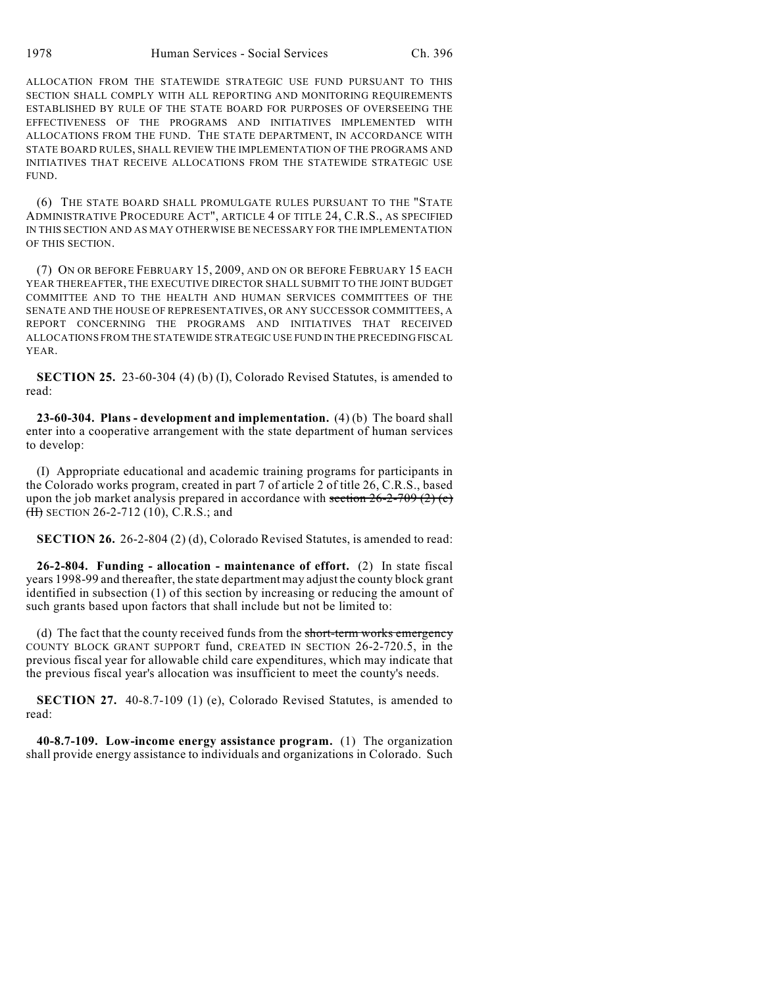ALLOCATION FROM THE STATEWIDE STRATEGIC USE FUND PURSUANT TO THIS SECTION SHALL COMPLY WITH ALL REPORTING AND MONITORING REQUIREMENTS ESTABLISHED BY RULE OF THE STATE BOARD FOR PURPOSES OF OVERSEEING THE EFFECTIVENESS OF THE PROGRAMS AND INITIATIVES IMPLEMENTED WITH ALLOCATIONS FROM THE FUND. THE STATE DEPARTMENT, IN ACCORDANCE WITH STATE BOARD RULES, SHALL REVIEW THE IMPLEMENTATION OF THE PROGRAMS AND INITIATIVES THAT RECEIVE ALLOCATIONS FROM THE STATEWIDE STRATEGIC USE FUND.

(6) THE STATE BOARD SHALL PROMULGATE RULES PURSUANT TO THE "STATE ADMINISTRATIVE PROCEDURE ACT", ARTICLE 4 OF TITLE 24, C.R.S., AS SPECIFIED IN THIS SECTION AND AS MAY OTHERWISE BE NECESSARY FOR THE IMPLEMENTATION OF THIS SECTION.

(7) ON OR BEFORE FEBRUARY 15, 2009, AND ON OR BEFORE FEBRUARY 15 EACH YEAR THEREAFTER, THE EXECUTIVE DIRECTOR SHALL SUBMIT TO THE JOINT BUDGET COMMITTEE AND TO THE HEALTH AND HUMAN SERVICES COMMITTEES OF THE SENATE AND THE HOUSE OF REPRESENTATIVES, OR ANY SUCCESSOR COMMITTEES, A REPORT CONCERNING THE PROGRAMS AND INITIATIVES THAT RECEIVED ALLOCATIONS FROM THE STATEWIDE STRATEGIC USE FUND IN THE PRECEDING FISCAL YEAR.

**SECTION 25.** 23-60-304 (4) (b) (I), Colorado Revised Statutes, is amended to read:

**23-60-304. Plans - development and implementation.** (4) (b) The board shall enter into a cooperative arrangement with the state department of human services to develop:

(I) Appropriate educational and academic training programs for participants in the Colorado works program, created in part 7 of article 2 of title 26, C.R.S., based upon the job market analysis prepared in accordance with section  $26-2-709(2)(c)$ (H) SECTION 26-2-712 (10), C.R.S.; and

**SECTION 26.** 26-2-804 (2) (d), Colorado Revised Statutes, is amended to read:

**26-2-804. Funding - allocation - maintenance of effort.** (2) In state fiscal years 1998-99 and thereafter, the state department may adjust the county block grant identified in subsection (1) of this section by increasing or reducing the amount of such grants based upon factors that shall include but not be limited to:

(d) The fact that the county received funds from the short-term works emergency COUNTY BLOCK GRANT SUPPORT fund, CREATED IN SECTION 26-2-720.5, in the previous fiscal year for allowable child care expenditures, which may indicate that the previous fiscal year's allocation was insufficient to meet the county's needs.

**SECTION 27.** 40-8.7-109 (1) (e), Colorado Revised Statutes, is amended to read:

**40-8.7-109. Low-income energy assistance program.** (1) The organization shall provide energy assistance to individuals and organizations in Colorado. Such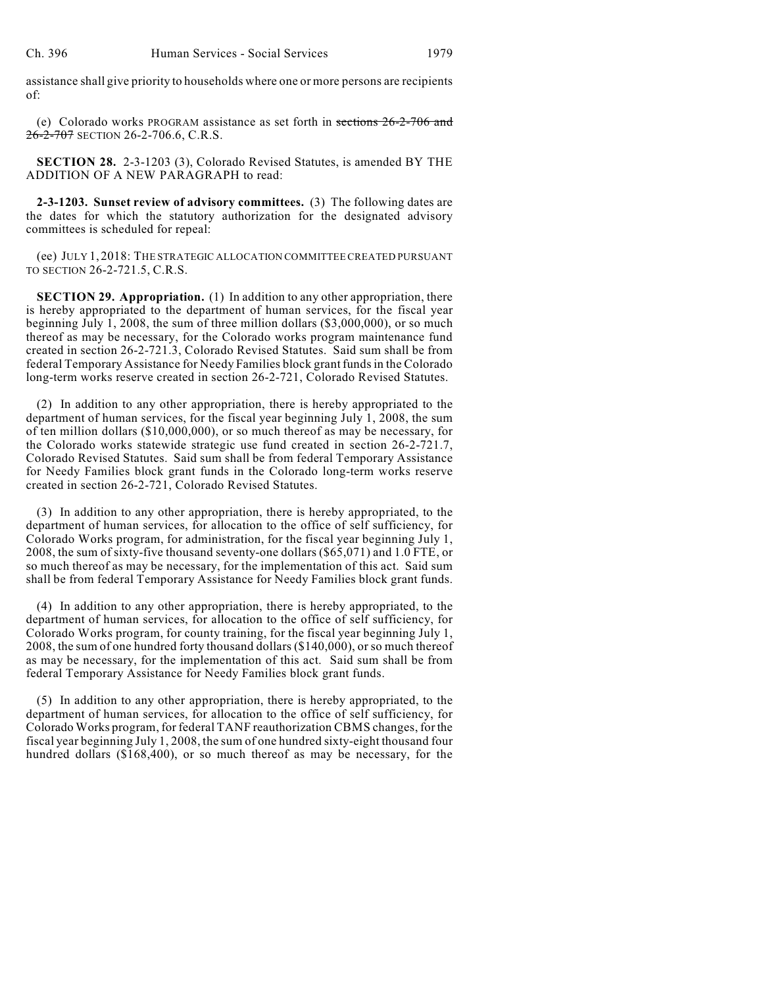assistance shall give priority to households where one or more persons are recipients of:

(e) Colorado works PROGRAM assistance as set forth in sections 26-2-706 and 26-2-707 SECTION 26-2-706.6, C.R.S.

**SECTION 28.** 2-3-1203 (3), Colorado Revised Statutes, is amended BY THE ADDITION OF A NEW PARAGRAPH to read:

**2-3-1203. Sunset review of advisory committees.** (3) The following dates are the dates for which the statutory authorization for the designated advisory committees is scheduled for repeal:

(ee) JULY 1, 2018: THE STRATEGIC ALLOCATION COMMITTEE CREATED PURSUANT TO SECTION 26-2-721.5, C.R.S.

**SECTION 29. Appropriation.** (1) In addition to any other appropriation, there is hereby appropriated to the department of human services, for the fiscal year beginning July 1, 2008, the sum of three million dollars (\$3,000,000), or so much thereof as may be necessary, for the Colorado works program maintenance fund created in section 26-2-721.3, Colorado Revised Statutes. Said sum shall be from federal Temporary Assistance for Needy Families block grant funds in the Colorado long-term works reserve created in section 26-2-721, Colorado Revised Statutes.

(2) In addition to any other appropriation, there is hereby appropriated to the department of human services, for the fiscal year beginning July 1, 2008, the sum of ten million dollars (\$10,000,000), or so much thereof as may be necessary, for the Colorado works statewide strategic use fund created in section 26-2-721.7, Colorado Revised Statutes. Said sum shall be from federal Temporary Assistance for Needy Families block grant funds in the Colorado long-term works reserve created in section 26-2-721, Colorado Revised Statutes.

(3) In addition to any other appropriation, there is hereby appropriated, to the department of human services, for allocation to the office of self sufficiency, for Colorado Works program, for administration, for the fiscal year beginning July 1, 2008, the sum of sixty-five thousand seventy-one dollars (\$65,071) and 1.0 FTE, or so much thereof as may be necessary, for the implementation of this act. Said sum shall be from federal Temporary Assistance for Needy Families block grant funds.

(4) In addition to any other appropriation, there is hereby appropriated, to the department of human services, for allocation to the office of self sufficiency, for Colorado Works program, for county training, for the fiscal year beginning July 1, 2008, the sum of one hundred forty thousand dollars (\$140,000), or so much thereof as may be necessary, for the implementation of this act. Said sum shall be from federal Temporary Assistance for Needy Families block grant funds.

(5) In addition to any other appropriation, there is hereby appropriated, to the department of human services, for allocation to the office of self sufficiency, for Colorado Works program, for federal TANF reauthorization CBMS changes, for the fiscal year beginning July 1, 2008, the sum of one hundred sixty-eight thousand four hundred dollars (\$168,400), or so much thereof as may be necessary, for the